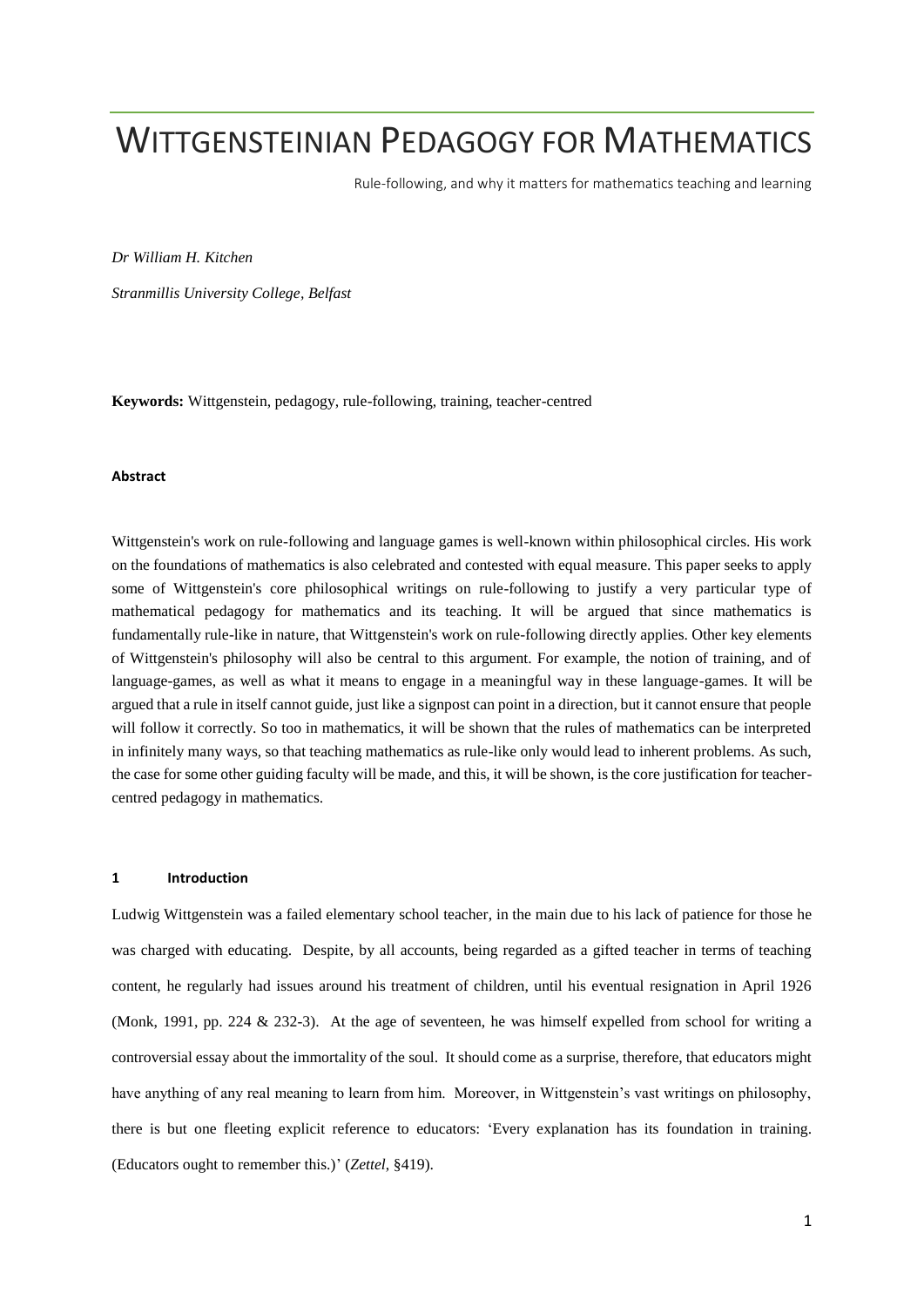# WITTGENSTEINIAN PEDAGOGY FOR MATHEMATICS

Rule-following, and why it matters for mathematics teaching and learning

*Dr William H. Kitchen*

*Stranmillis University College, Belfast* 

**Keywords:** Wittgenstein, pedagogy, rule-following, training, teacher-centred

# **Abstract**

Wittgenstein's work on rule-following and language games is well-known within philosophical circles. His work on the foundations of mathematics is also celebrated and contested with equal measure. This paper seeks to apply some of Wittgenstein's core philosophical writings on rule-following to justify a very particular type of mathematical pedagogy for mathematics and its teaching. It will be argued that since mathematics is fundamentally rule-like in nature, that Wittgenstein's work on rule-following directly applies. Other key elements of Wittgenstein's philosophy will also be central to this argument. For example, the notion of training, and of language-games, as well as what it means to engage in a meaningful way in these language-games. It will be argued that a rule in itself cannot guide, just like a signpost can point in a direction, but it cannot ensure that people will follow it correctly. So too in mathematics, it will be shown that the rules of mathematics can be interpreted in infinitely many ways, so that teaching mathematics as rule-like only would lead to inherent problems. As such, the case for some other guiding faculty will be made, and this, it will be shown, is the core justification for teachercentred pedagogy in mathematics.

# **1 Introduction**

Ludwig Wittgenstein was a failed elementary school teacher, in the main due to his lack of patience for those he was charged with educating. Despite, by all accounts, being regarded as a gifted teacher in terms of teaching content, he regularly had issues around his treatment of children, until his eventual resignation in April 1926 (Monk, 1991, pp. 224 & 232-3). At the age of seventeen, he was himself expelled from school for writing a controversial essay about the immortality of the soul. It should come as a surprise, therefore, that educators might have anything of any real meaning to learn from him. Moreover, in Wittgenstein's vast writings on philosophy, there is but one fleeting explicit reference to educators: 'Every explanation has its foundation in training. (Educators ought to remember this.)' (*Zettel*, §419).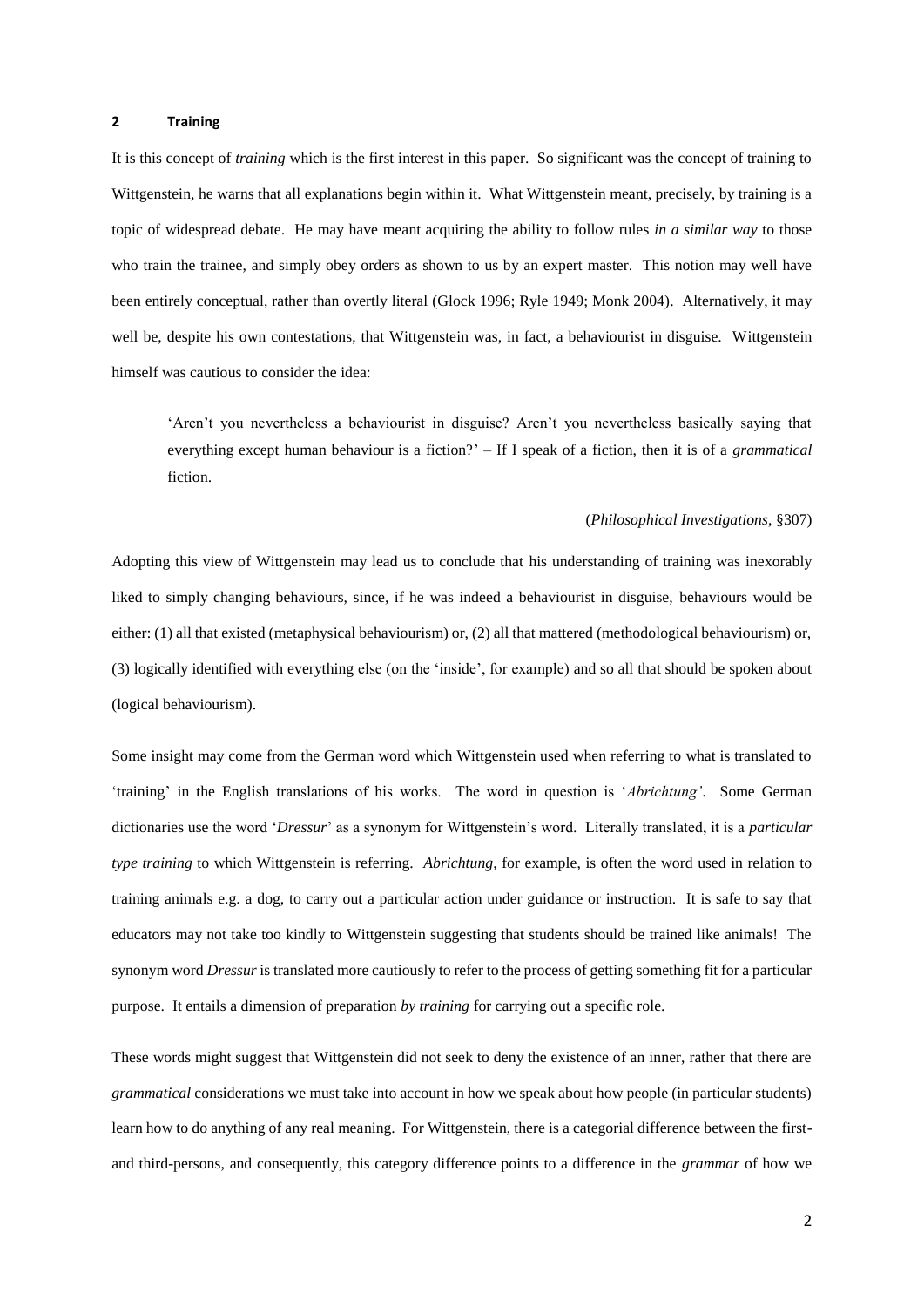#### **2 Training**

It is this concept of *training* which is the first interest in this paper. So significant was the concept of training to Wittgenstein, he warns that all explanations begin within it. What Wittgenstein meant, precisely, by training is a topic of widespread debate. He may have meant acquiring the ability to follow rules *in a similar way* to those who train the trainee, and simply obey orders as shown to us by an expert master. This notion may well have been entirely conceptual, rather than overtly literal (Glock 1996; Ryle 1949; Monk 2004). Alternatively, it may well be, despite his own contestations, that Wittgenstein was, in fact, a behaviourist in disguise. Wittgenstein himself was cautious to consider the idea:

'Aren't you nevertheless a behaviourist in disguise? Aren't you nevertheless basically saying that everything except human behaviour is a fiction?' – If I speak of a fiction, then it is of a *grammatical*  fiction.

#### (*Philosophical Investigations,* §307)

Adopting this view of Wittgenstein may lead us to conclude that his understanding of training was inexorably liked to simply changing behaviours, since, if he was indeed a behaviourist in disguise, behaviours would be either: (1) all that existed (metaphysical behaviourism) or, (2) all that mattered (methodological behaviourism) or, (3) logically identified with everything else (on the 'inside', for example) and so all that should be spoken about (logical behaviourism).

Some insight may come from the German word which Wittgenstein used when referring to what is translated to 'training' in the English translations of his works. The word in question is '*Abrichtung'*. Some German dictionaries use the word '*Dressur*' as a synonym for Wittgenstein's word. Literally translated, it is a *particular type training* to which Wittgenstein is referring. *Abrichtung*, for example, is often the word used in relation to training animals e.g. a dog, to carry out a particular action under guidance or instruction. It is safe to say that educators may not take too kindly to Wittgenstein suggesting that students should be trained like animals! The synonym word *Dressur* is translated more cautiously to refer to the process of getting something fit for a particular purpose. It entails a dimension of preparation *by training* for carrying out a specific role.

These words might suggest that Wittgenstein did not seek to deny the existence of an inner, rather that there are *grammatical* considerations we must take into account in how we speak about how people (in particular students) learn how to do anything of any real meaning. For Wittgenstein, there is a categorial difference between the firstand third-persons, and consequently, this category difference points to a difference in the *grammar* of how we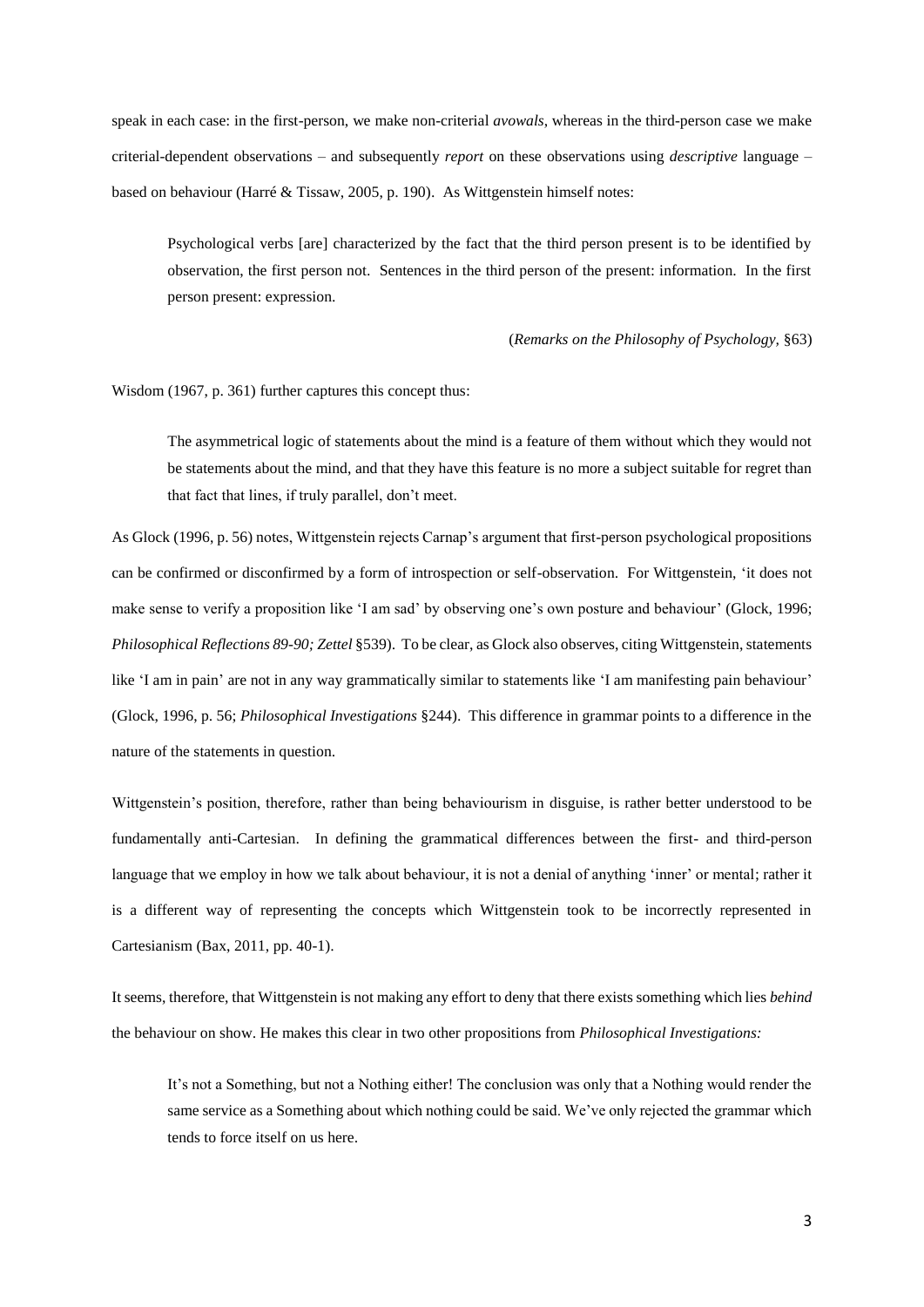speak in each case: in the first-person, we make non-criterial *avowals*, whereas in the third-person case we make criterial-dependent observations – and subsequently *report* on these observations using *descriptive* language – based on behaviour (Harré & Tissaw, 2005, p. 190). As Wittgenstein himself notes:

Psychological verbs [are] characterized by the fact that the third person present is to be identified by observation, the first person not. Sentences in the third person of the present: information. In the first person present: expression.

#### (*Remarks on the Philosophy of Psychology,* §63)

Wisdom (1967, p. 361) further captures this concept thus:

The asymmetrical logic of statements about the mind is a feature of them without which they would not be statements about the mind, and that they have this feature is no more a subject suitable for regret than that fact that lines, if truly parallel, don't meet.

As Glock (1996, p. 56) notes, Wittgenstein rejects Carnap's argument that first-person psychological propositions can be confirmed or disconfirmed by a form of introspection or self-observation. For Wittgenstein, 'it does not make sense to verify a proposition like 'I am sad' by observing one's own posture and behaviour' (Glock, 1996; *Philosophical Reflections 89-90; Zettel* §539). To be clear, as Glock also observes, citing Wittgenstein, statements like 'I am in pain' are not in any way grammatically similar to statements like 'I am manifesting pain behaviour' (Glock, 1996, p. 56; *Philosophical Investigations* §244). This difference in grammar points to a difference in the nature of the statements in question.

Wittgenstein's position, therefore, rather than being behaviourism in disguise, is rather better understood to be fundamentally anti-Cartesian. In defining the grammatical differences between the first- and third-person language that we employ in how we talk about behaviour, it is not a denial of anything 'inner' or mental; rather it is a different way of representing the concepts which Wittgenstein took to be incorrectly represented in Cartesianism (Bax, 2011, pp. 40-1).

It seems, therefore, that Wittgenstein is not making any effort to deny that there exists something which lies *behind* the behaviour on show. He makes this clear in two other propositions from *Philosophical Investigations:*

It's not a Something, but not a Nothing either! The conclusion was only that a Nothing would render the same service as a Something about which nothing could be said. We've only rejected the grammar which tends to force itself on us here.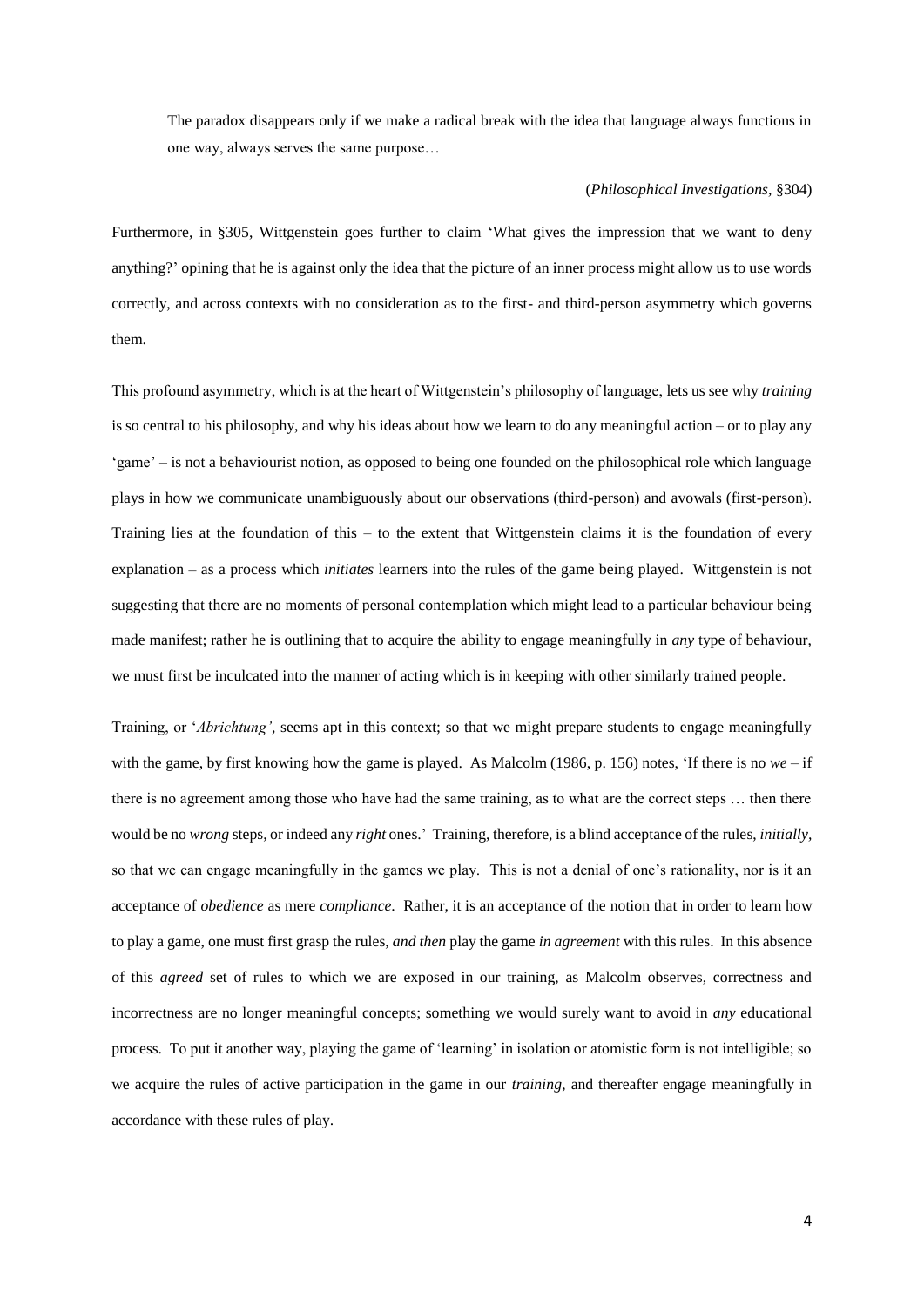The paradox disappears only if we make a radical break with the idea that language always functions in one way, always serves the same purpose…

#### (*Philosophical Investigations,* §304)

Furthermore, in §305, Wittgenstein goes further to claim 'What gives the impression that we want to deny anything?' opining that he is against only the idea that the picture of an inner process might allow us to use words correctly, and across contexts with no consideration as to the first- and third-person asymmetry which governs them.

This profound asymmetry, which is at the heart of Wittgenstein's philosophy of language, lets us see why *training* is so central to his philosophy, and why his ideas about how we learn to do any meaningful action – or to play any 'game' – is not a behaviourist notion, as opposed to being one founded on the philosophical role which language plays in how we communicate unambiguously about our observations (third-person) and avowals (first-person). Training lies at the foundation of this – to the extent that Wittgenstein claims it is the foundation of every explanation – as a process which *initiates* learners into the rules of the game being played. Wittgenstein is not suggesting that there are no moments of personal contemplation which might lead to a particular behaviour being made manifest; rather he is outlining that to acquire the ability to engage meaningfully in *any* type of behaviour, we must first be inculcated into the manner of acting which is in keeping with other similarly trained people.

Training, or '*Abrichtung'*, seems apt in this context; so that we might prepare students to engage meaningfully with the game, by first knowing how the game is played. As Malcolm (1986, p. 156) notes, 'If there is no *we* – if there is no agreement among those who have had the same training, as to what are the correct steps … then there would be no *wrong* steps, or indeed any *right* ones.' Training, therefore, is a blind acceptance of the rules, *initially,*  so that we can engage meaningfully in the games we play. This is not a denial of one's rationality, nor is it an acceptance of *obedience* as mere *compliance*. Rather, it is an acceptance of the notion that in order to learn how to play a game, one must first grasp the rules, *and then* play the game *in agreement* with this rules. In this absence of this *agreed* set of rules to which we are exposed in our training, as Malcolm observes, correctness and incorrectness are no longer meaningful concepts; something we would surely want to avoid in *any* educational process. To put it another way, playing the game of 'learning' in isolation or atomistic form is not intelligible; so we acquire the rules of active participation in the game in our *training*, and thereafter engage meaningfully in accordance with these rules of play.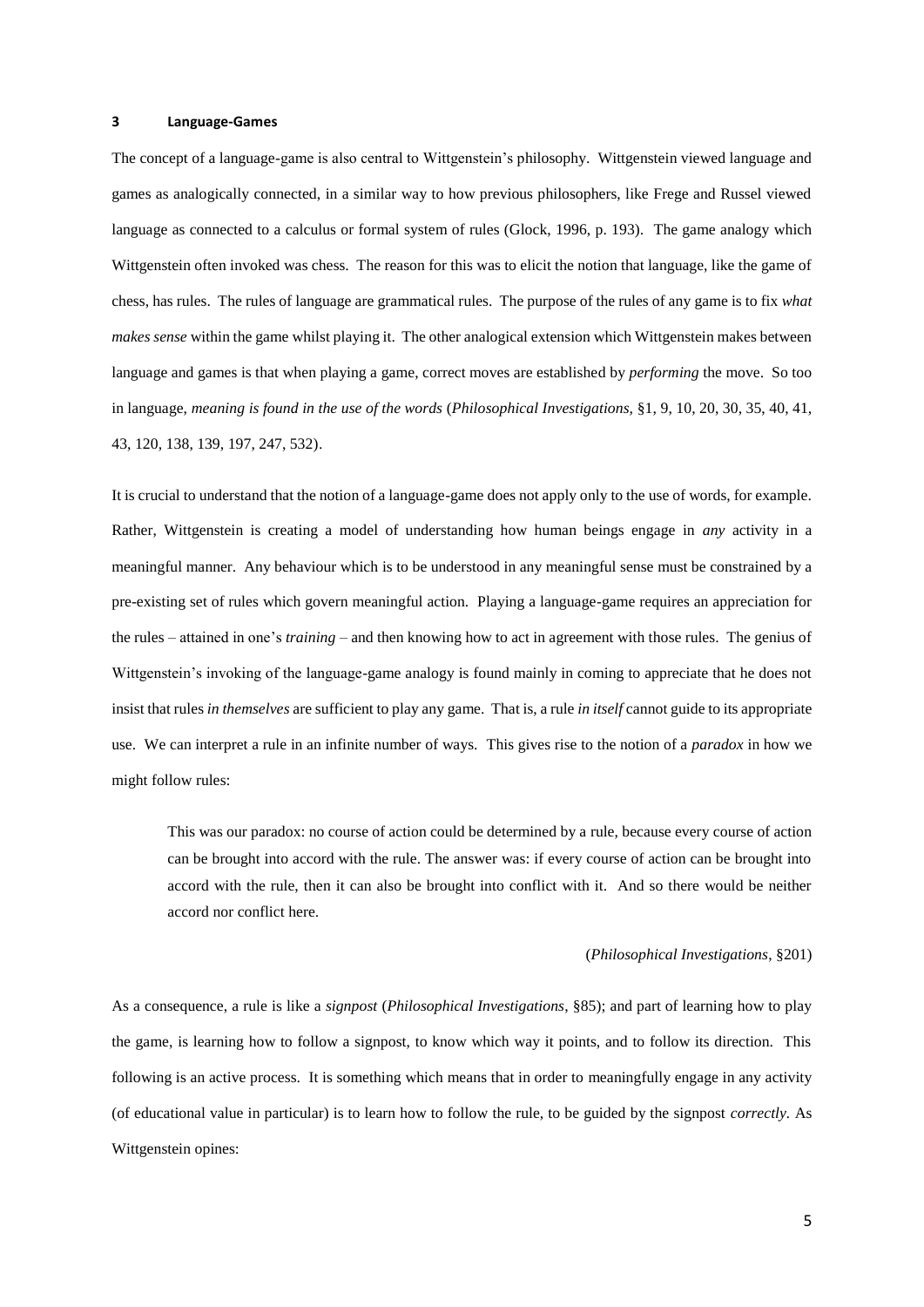#### **3 Language-Games**

The concept of a language-game is also central to Wittgenstein's philosophy. Wittgenstein viewed language and games as analogically connected, in a similar way to how previous philosophers, like Frege and Russel viewed language as connected to a calculus or formal system of rules (Glock, 1996, p. 193). The game analogy which Wittgenstein often invoked was chess. The reason for this was to elicit the notion that language, like the game of chess, has rules. The rules of language are grammatical rules. The purpose of the rules of any game is to fix *what makes sense* within the game whilst playing it. The other analogical extension which Wittgenstein makes between language and games is that when playing a game, correct moves are established by *performing* the move. So too in language, *meaning is found in the use of the words* (*Philosophical Investigations,* §1, 9, 10, 20, 30, 35, 40, 41, 43, 120, 138, 139, 197, 247, 532).

It is crucial to understand that the notion of a language-game does not apply only to the use of words, for example. Rather, Wittgenstein is creating a model of understanding how human beings engage in *any* activity in a meaningful manner. Any behaviour which is to be understood in any meaningful sense must be constrained by a pre-existing set of rules which govern meaningful action. Playing a language-game requires an appreciation for the rules – attained in one's *training* – and then knowing how to act in agreement with those rules. The genius of Wittgenstein's invoking of the language-game analogy is found mainly in coming to appreciate that he does not insist that rules *in themselves* are sufficient to play any game. That is, a rule *in itself* cannot guide to its appropriate use. We can interpret a rule in an infinite number of ways. This gives rise to the notion of a *paradox* in how we might follow rules:

This was our paradox: no course of action could be determined by a rule, because every course of action can be brought into accord with the rule. The answer was: if every course of action can be brought into accord with the rule, then it can also be brought into conflict with it. And so there would be neither accord nor conflict here.

#### (*Philosophical Investigations*, §201)

As a consequence, a rule is like a *signpost* (*Philosophical Investigations*, §85); and part of learning how to play the game, is learning how to follow a signpost, to know which way it points, and to follow its direction. This following is an active process. It is something which means that in order to meaningfully engage in any activity (of educational value in particular) is to learn how to follow the rule, to be guided by the signpost *correctly.* As Wittgenstein opines: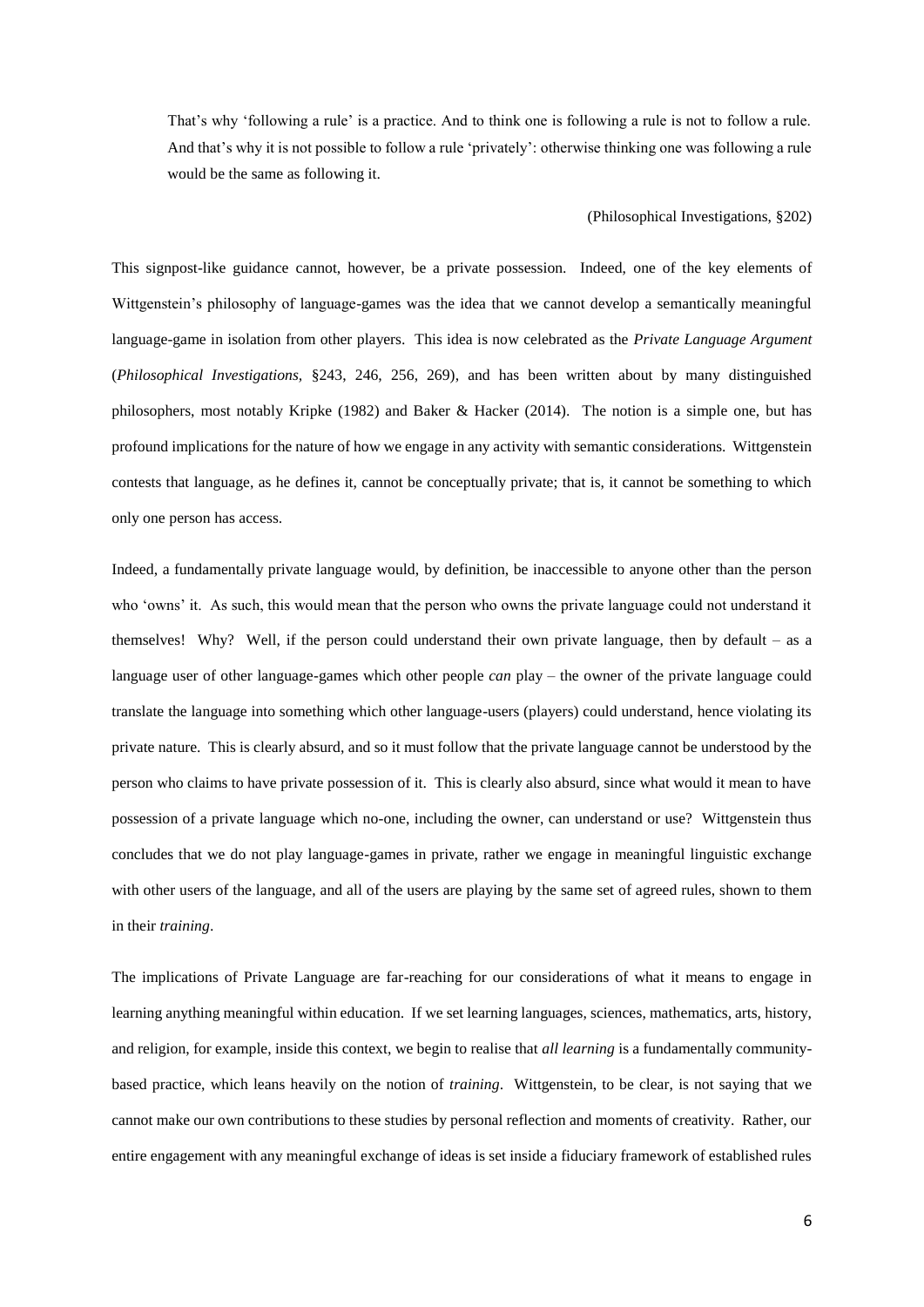That's why 'following a rule' is a practice. And to think one is following a rule is not to follow a rule. And that's why it is not possible to follow a rule 'privately': otherwise thinking one was following a rule would be the same as following it.

# (Philosophical Investigations, §202)

This signpost-like guidance cannot, however, be a private possession. Indeed, one of the key elements of Wittgenstein's philosophy of language-games was the idea that we cannot develop a semantically meaningful language-game in isolation from other players. This idea is now celebrated as the *Private Language Argument*  (*Philosophical Investigations,* §243, 246, 256, 269), and has been written about by many distinguished philosophers, most notably Kripke (1982) and Baker & Hacker (2014). The notion is a simple one, but has profound implications for the nature of how we engage in any activity with semantic considerations. Wittgenstein contests that language, as he defines it, cannot be conceptually private; that is, it cannot be something to which only one person has access.

Indeed, a fundamentally private language would, by definition, be inaccessible to anyone other than the person who 'owns' it. As such, this would mean that the person who owns the private language could not understand it themselves! Why? Well, if the person could understand their own private language, then by default – as a language user of other language-games which other people *can* play – the owner of the private language could translate the language into something which other language-users (players) could understand, hence violating its private nature. This is clearly absurd, and so it must follow that the private language cannot be understood by the person who claims to have private possession of it. This is clearly also absurd, since what would it mean to have possession of a private language which no-one, including the owner, can understand or use? Wittgenstein thus concludes that we do not play language-games in private, rather we engage in meaningful linguistic exchange with other users of the language, and all of the users are playing by the same set of agreed rules, shown to them in their *training*.

The implications of Private Language are far-reaching for our considerations of what it means to engage in learning anything meaningful within education. If we set learning languages, sciences, mathematics, arts, history, and religion, for example, inside this context, we begin to realise that *all learning* is a fundamentally communitybased practice, which leans heavily on the notion of *training*. Wittgenstein, to be clear, is not saying that we cannot make our own contributions to these studies by personal reflection and moments of creativity. Rather, our entire engagement with any meaningful exchange of ideas is set inside a fiduciary framework of established rules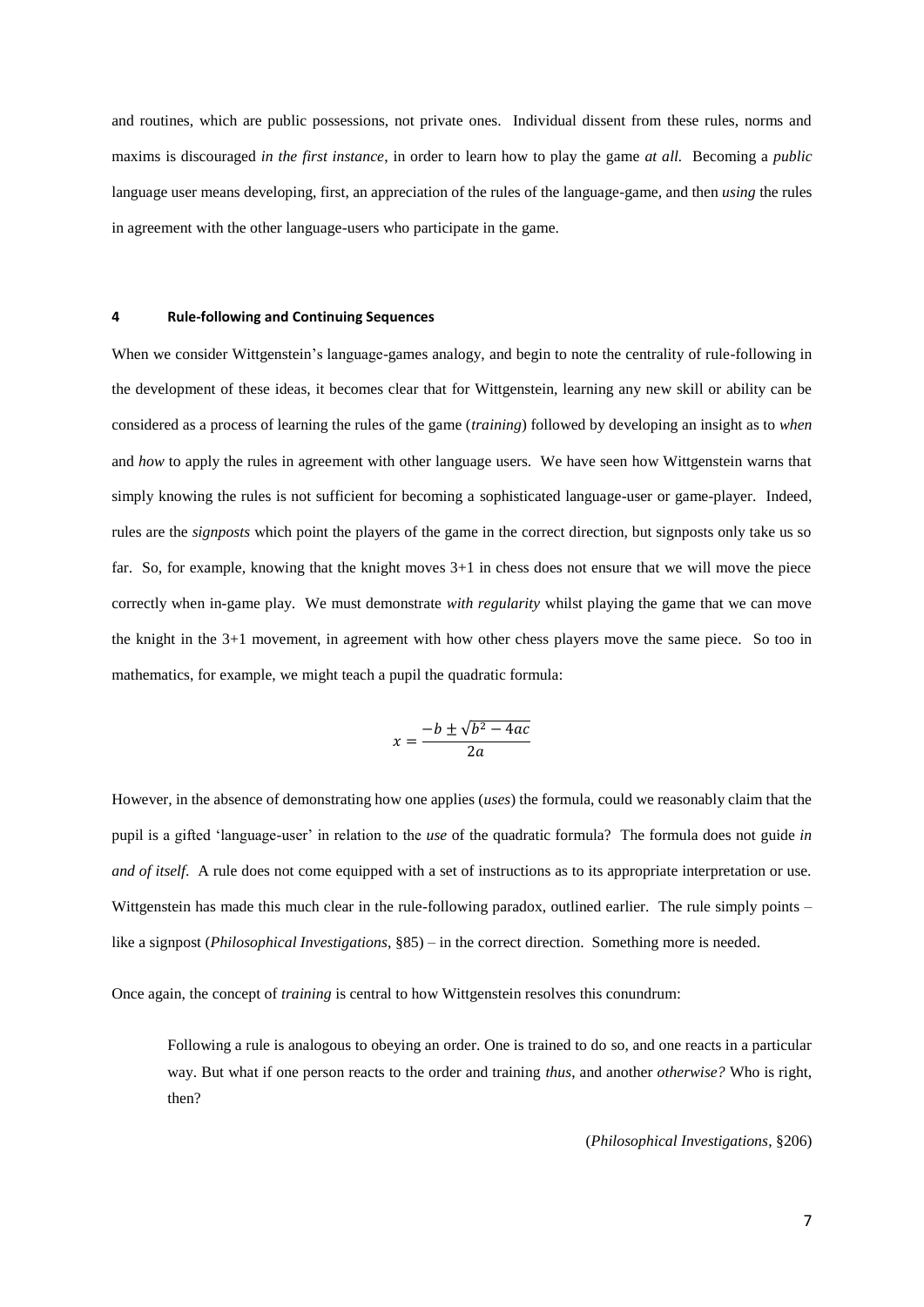and routines, which are public possessions, not private ones. Individual dissent from these rules, norms and maxims is discouraged *in the first instance*, in order to learn how to play the game *at all.* Becoming a *public*  language user means developing, first, an appreciation of the rules of the language-game, and then *using* the rules in agreement with the other language-users who participate in the game.

# **4 Rule-following and Continuing Sequences**

When we consider Wittgenstein's language-games analogy, and begin to note the centrality of rule-following in the development of these ideas, it becomes clear that for Wittgenstein, learning any new skill or ability can be considered as a process of learning the rules of the game (*training*) followed by developing an insight as to *when* and *how* to apply the rules in agreement with other language users. We have seen how Wittgenstein warns that simply knowing the rules is not sufficient for becoming a sophisticated language-user or game-player. Indeed, rules are the *signposts* which point the players of the game in the correct direction, but signposts only take us so far. So, for example, knowing that the knight moves 3+1 in chess does not ensure that we will move the piece correctly when in-game play. We must demonstrate *with regularity* whilst playing the game that we can move the knight in the 3+1 movement, in agreement with how other chess players move the same piece. So too in mathematics, for example, we might teach a pupil the quadratic formula:

$$
x = \frac{-b \pm \sqrt{b^2 - 4ac}}{2a}
$$

However, in the absence of demonstrating how one applies (*uses*) the formula, could we reasonably claim that the pupil is a gifted 'language-user' in relation to the *use* of the quadratic formula? The formula does not guide *in and of itself.* A rule does not come equipped with a set of instructions as to its appropriate interpretation or use. Wittgenstein has made this much clear in the rule-following paradox, outlined earlier. The rule simply points – like a signpost (*Philosophical Investigations*, §85) – in the correct direction. Something more is needed.

Once again, the concept of *training* is central to how Wittgenstein resolves this conundrum:

Following a rule is analogous to obeying an order. One is trained to do so, and one reacts in a particular way. But what if one person reacts to the order and training *thus*, and another *otherwise?* Who is right, then?

(*Philosophical Investigations*, §206)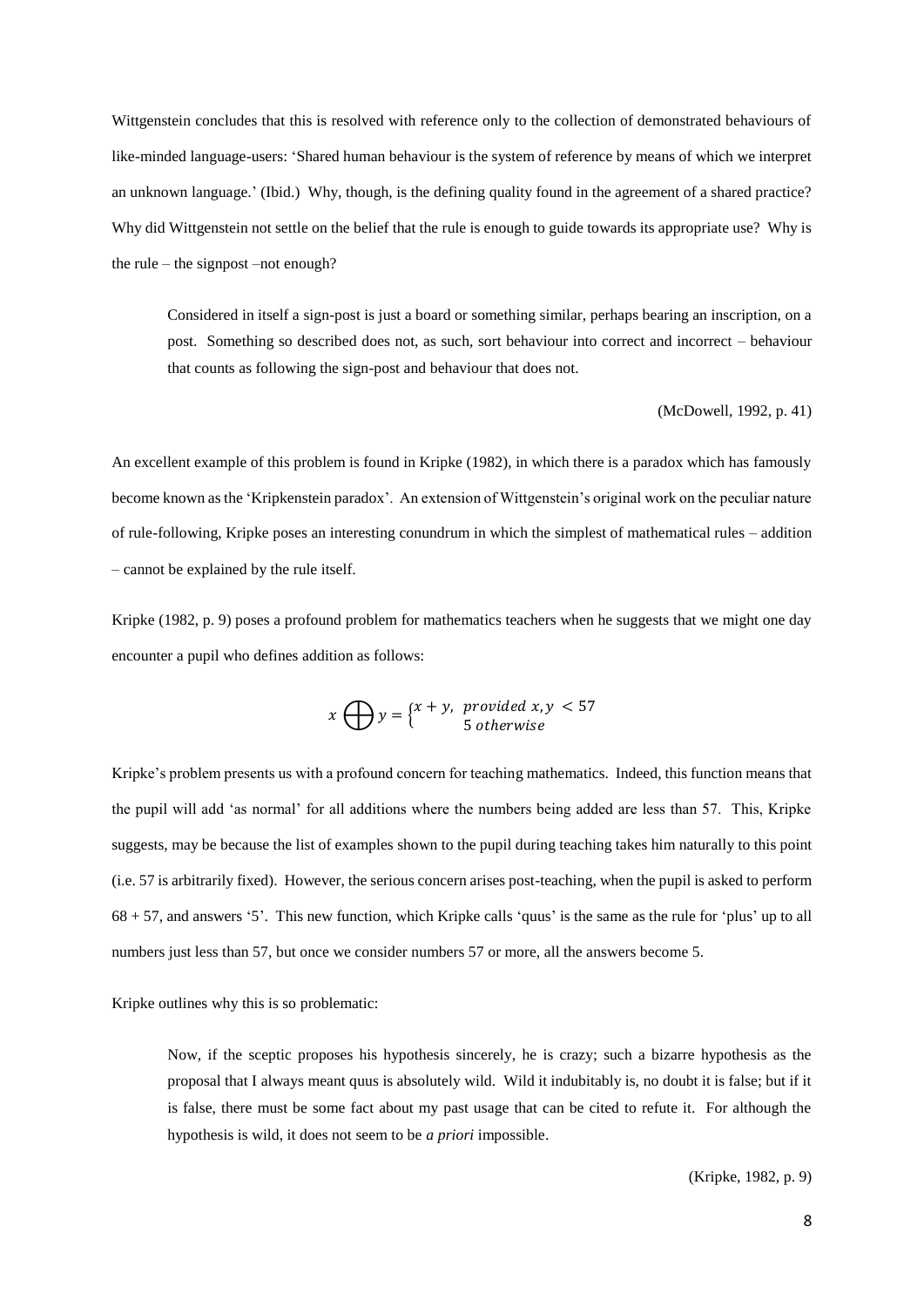Wittgenstein concludes that this is resolved with reference only to the collection of demonstrated behaviours of like-minded language-users: 'Shared human behaviour is the system of reference by means of which we interpret an unknown language.' (Ibid.) Why, though, is the defining quality found in the agreement of a shared practice? Why did Wittgenstein not settle on the belief that the rule is enough to guide towards its appropriate use? Why is the rule – the signpost –not enough?

Considered in itself a sign-post is just a board or something similar, perhaps bearing an inscription, on a post. Something so described does not, as such, sort behaviour into correct and incorrect – behaviour that counts as following the sign-post and behaviour that does not.

(McDowell, 1992, p. 41)

An excellent example of this problem is found in Kripke (1982), in which there is a paradox which has famously become known as the 'Kripkenstein paradox'. An extension of Wittgenstein's original work on the peculiar nature of rule-following, Kripke poses an interesting conundrum in which the simplest of mathematical rules – addition – cannot be explained by the rule itself.

Kripke (1982, p. 9) poses a profound problem for mathematics teachers when he suggests that we might one day encounter a pupil who defines addition as follows:

$$
x \bigoplus y = \begin{cases} x + y, & \text{provided } x, y < 57 \\ 5 & \text{otherwise} \end{cases}
$$

Kripke's problem presents us with a profound concern for teaching mathematics. Indeed, this function means that the pupil will add 'as normal' for all additions where the numbers being added are less than 57. This, Kripke suggests, may be because the list of examples shown to the pupil during teaching takes him naturally to this point (i.e. 57 is arbitrarily fixed). However, the serious concern arises post-teaching, when the pupil is asked to perform 68 + 57, and answers '5'. This new function, which Kripke calls 'quus' is the same as the rule for 'plus' up to all numbers just less than 57, but once we consider numbers 57 or more, all the answers become 5.

Kripke outlines why this is so problematic:

Now, if the sceptic proposes his hypothesis sincerely, he is crazy; such a bizarre hypothesis as the proposal that I always meant quus is absolutely wild. Wild it indubitably is, no doubt it is false; but if it is false, there must be some fact about my past usage that can be cited to refute it. For although the hypothesis is wild, it does not seem to be *a priori* impossible.

(Kripke, 1982, p. 9)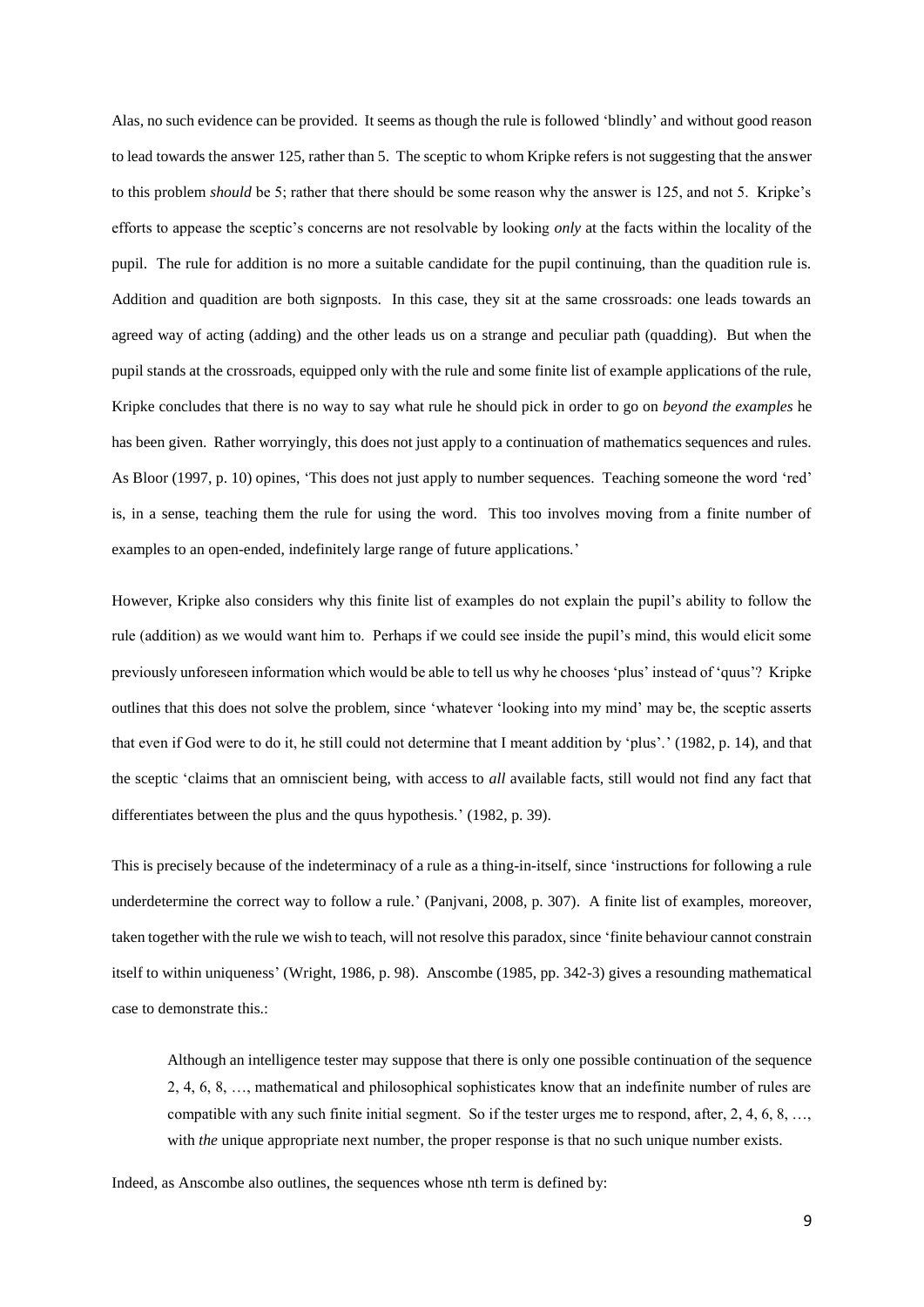Alas, no such evidence can be provided. It seems as though the rule is followed 'blindly' and without good reason to lead towards the answer 125, rather than 5. The sceptic to whom Kripke refers is not suggesting that the answer to this problem *should* be 5; rather that there should be some reason why the answer is 125, and not 5. Kripke's efforts to appease the sceptic's concerns are not resolvable by looking *only* at the facts within the locality of the pupil. The rule for addition is no more a suitable candidate for the pupil continuing, than the quadition rule is. Addition and quadition are both signposts. In this case, they sit at the same crossroads: one leads towards an agreed way of acting (adding) and the other leads us on a strange and peculiar path (quadding). But when the pupil stands at the crossroads, equipped only with the rule and some finite list of example applications of the rule, Kripke concludes that there is no way to say what rule he should pick in order to go on *beyond the examples* he has been given. Rather worryingly, this does not just apply to a continuation of mathematics sequences and rules. As Bloor (1997, p. 10) opines, 'This does not just apply to number sequences. Teaching someone the word 'red' is, in a sense, teaching them the rule for using the word. This too involves moving from a finite number of examples to an open-ended, indefinitely large range of future applications.'

However, Kripke also considers why this finite list of examples do not explain the pupil's ability to follow the rule (addition) as we would want him to. Perhaps if we could see inside the pupil's mind, this would elicit some previously unforeseen information which would be able to tell us why he chooses 'plus' instead of 'quus'? Kripke outlines that this does not solve the problem, since 'whatever 'looking into my mind' may be, the sceptic asserts that even if God were to do it, he still could not determine that I meant addition by 'plus'.' (1982, p. 14), and that the sceptic 'claims that an omniscient being, with access to *all* available facts, still would not find any fact that differentiates between the plus and the quus hypothesis.' (1982, p. 39).

This is precisely because of the indeterminacy of a rule as a thing-in-itself, since 'instructions for following a rule underdetermine the correct way to follow a rule.' (Panjvani, 2008, p. 307). A finite list of examples, moreover, taken together with the rule we wish to teach, will not resolve this paradox, since 'finite behaviour cannot constrain itself to within uniqueness' (Wright, 1986, p. 98). Anscombe (1985, pp. 342-3) gives a resounding mathematical case to demonstrate this.:

Although an intelligence tester may suppose that there is only one possible continuation of the sequence 2, 4, 6, 8, …, mathematical and philosophical sophisticates know that an indefinite number of rules are compatible with any such finite initial segment. So if the tester urges me to respond, after,  $2, 4, 6, 8, \ldots$ , with *the* unique appropriate next number, the proper response is that no such unique number exists.

Indeed, as Anscombe also outlines, the sequences whose nth term is defined by: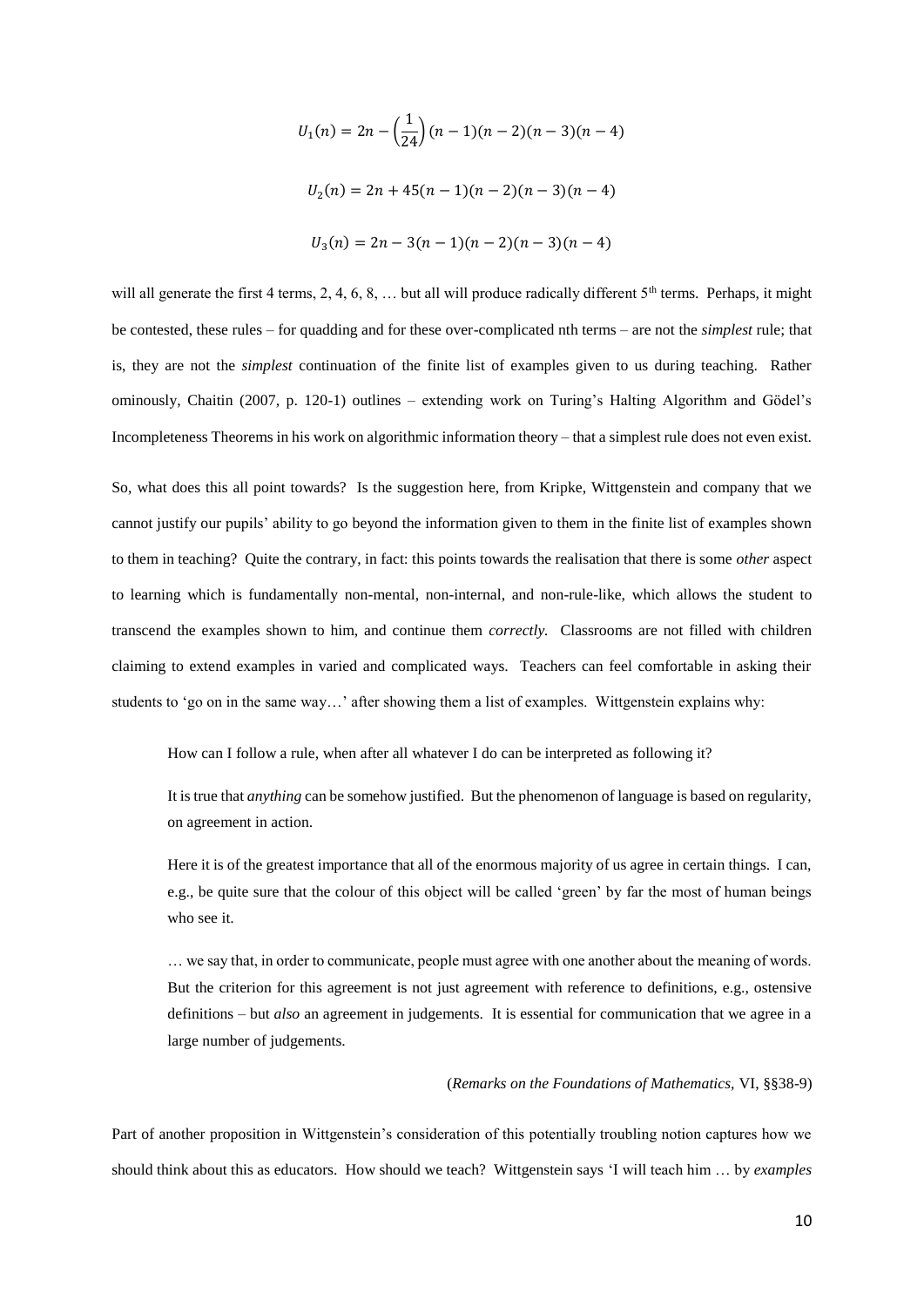$$
U_1(n) = 2n - \left(\frac{1}{24}\right)(n-1)(n-2)(n-3)(n-4)
$$
  

$$
U_2(n) = 2n + 45(n-1)(n-2)(n-3)(n-4)
$$
  

$$
U_3(n) = 2n - 3(n-1)(n-2)(n-3)(n-4)
$$

will all generate the first 4 terms, 2, 4, 6, 8, ... but all will produce radically different  $5<sup>th</sup>$  terms. Perhaps, it might be contested, these rules – for quadding and for these over-complicated nth terms – are not the *simplest* rule; that is, they are not the *simplest* continuation of the finite list of examples given to us during teaching. Rather ominously, Chaitin (2007, p. 120-1) outlines – extending work on Turing's Halting Algorithm and Gödel's Incompleteness Theorems in his work on algorithmic information theory – that a simplest rule does not even exist.

So, what does this all point towards? Is the suggestion here, from Kripke, Wittgenstein and company that we cannot justify our pupils' ability to go beyond the information given to them in the finite list of examples shown to them in teaching? Quite the contrary, in fact: this points towards the realisation that there is some *other* aspect to learning which is fundamentally non-mental, non-internal, and non-rule-like, which allows the student to transcend the examples shown to him, and continue them *correctly.* Classrooms are not filled with children claiming to extend examples in varied and complicated ways. Teachers can feel comfortable in asking their students to 'go on in the same way...' after showing them a list of examples. Wittgenstein explains why:

How can I follow a rule, when after all whatever I do can be interpreted as following it?

It is true that *anything* can be somehow justified. But the phenomenon of language is based on regularity, on agreement in action.

Here it is of the greatest importance that all of the enormous majority of us agree in certain things. I can, e.g., be quite sure that the colour of this object will be called 'green' by far the most of human beings who see it.

… we say that, in order to communicate, people must agree with one another about the meaning of words. But the criterion for this agreement is not just agreement with reference to definitions, e.g., ostensive definitions – but *also* an agreement in judgements. It is essential for communication that we agree in a large number of judgements.

# (*Remarks on the Foundations of Mathematics,* VI, §§38-9)

Part of another proposition in Wittgenstein's consideration of this potentially troubling notion captures how we should think about this as educators. How should we teach? Wittgenstein says 'I will teach him … by *examples*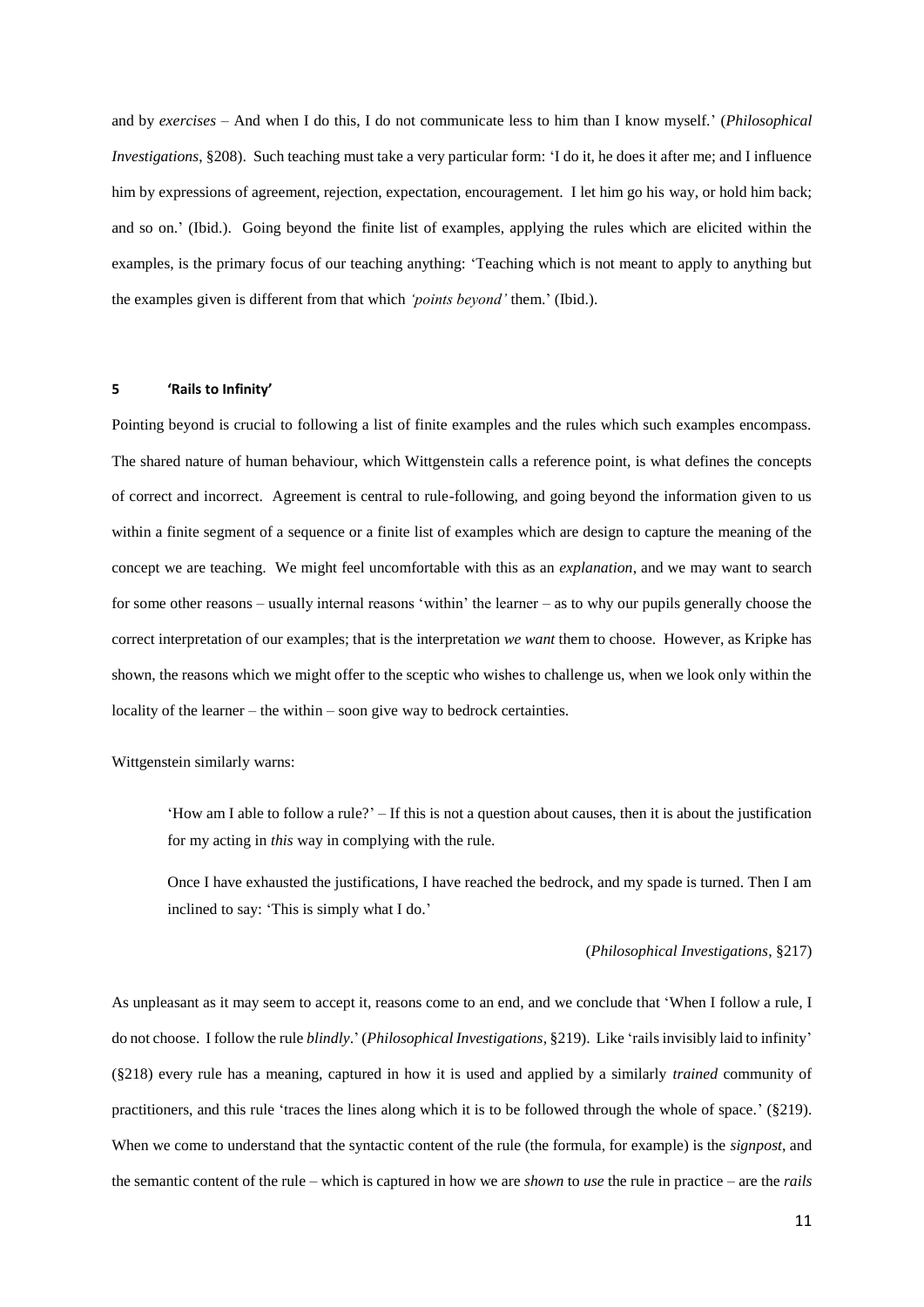and by *exercises* – And when I do this, I do not communicate less to him than I know myself.' (*Philosophical Investigations*, §208). Such teaching must take a very particular form: 'I do it, he does it after me; and I influence him by expressions of agreement, rejection, expectation, encouragement. I let him go his way, or hold him back; and so on.' (Ibid.). Going beyond the finite list of examples, applying the rules which are elicited within the examples, is the primary focus of our teaching anything: 'Teaching which is not meant to apply to anything but the examples given is different from that which *'points beyond'* them.' (Ibid.).

### **5 'Rails to Infinity'**

Pointing beyond is crucial to following a list of finite examples and the rules which such examples encompass. The shared nature of human behaviour, which Wittgenstein calls a reference point, is what defines the concepts of correct and incorrect. Agreement is central to rule-following, and going beyond the information given to us within a finite segment of a sequence or a finite list of examples which are design to capture the meaning of the concept we are teaching. We might feel uncomfortable with this as an *explanation*, and we may want to search for some other reasons – usually internal reasons 'within' the learner – as to why our pupils generally choose the correct interpretation of our examples; that is the interpretation *we want* them to choose. However, as Kripke has shown, the reasons which we might offer to the sceptic who wishes to challenge us, when we look only within the locality of the learner – the within – soon give way to bedrock certainties.

Wittgenstein similarly warns:

'How am I able to follow a rule?' – If this is not a question about causes, then it is about the justification for my acting in *this* way in complying with the rule.

Once I have exhausted the justifications, I have reached the bedrock, and my spade is turned. Then I am inclined to say: 'This is simply what I do.'

#### (*Philosophical Investigations*, §217)

As unpleasant as it may seem to accept it, reasons come to an end, and we conclude that 'When I follow a rule, I do not choose. I follow the rule *blindly*.' (*Philosophical Investigations*, §219). Like 'rails invisibly laid to infinity' (§218) every rule has a meaning, captured in how it is used and applied by a similarly *trained* community of practitioners, and this rule 'traces the lines along which it is to be followed through the whole of space.' (§219). When we come to understand that the syntactic content of the rule (the formula, for example) is the *signpost*, and the semantic content of the rule – which is captured in how we are *shown* to *use* the rule in practice – are the *rails*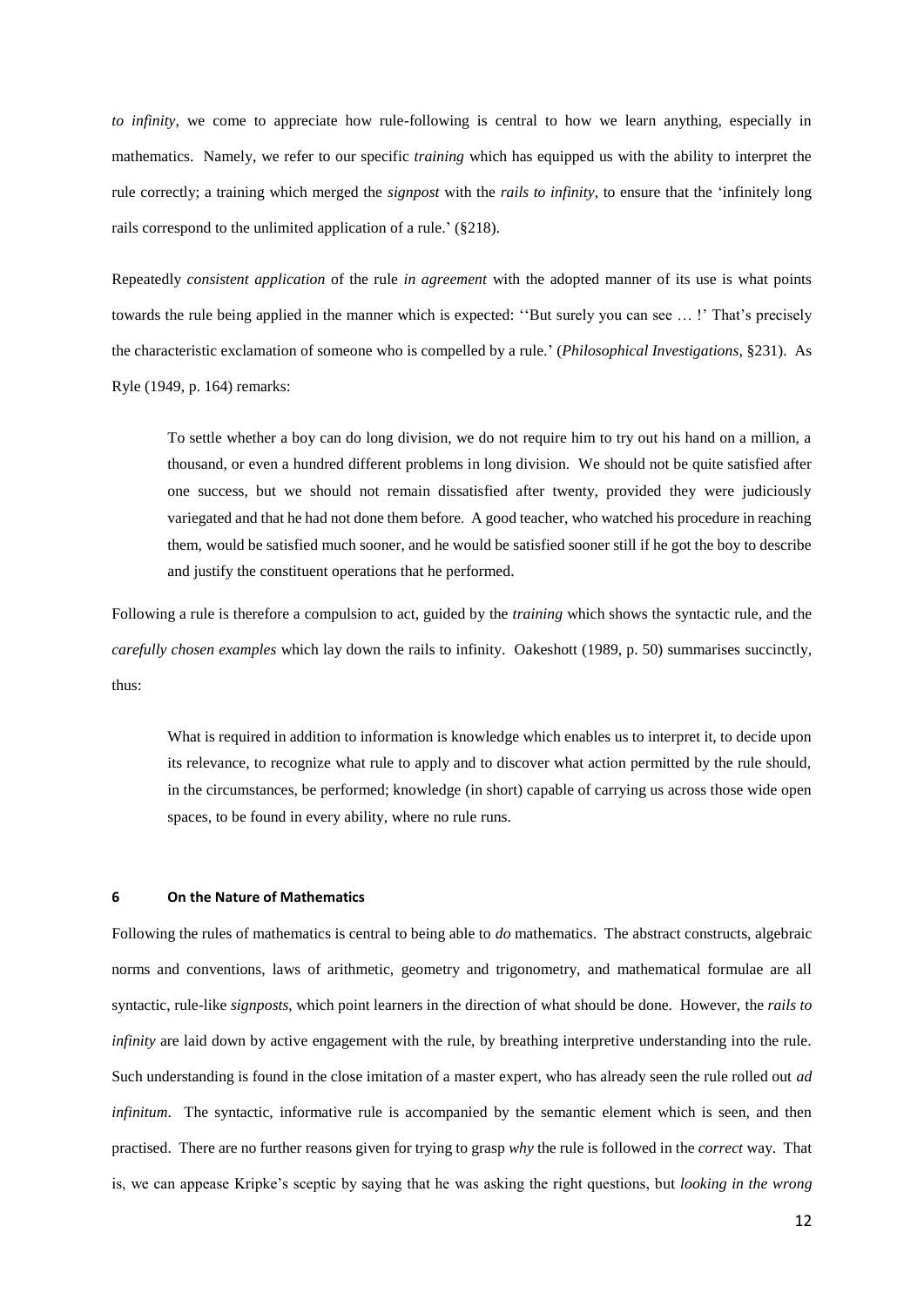*to infinity*, we come to appreciate how rule-following is central to how we learn anything, especially in mathematics. Namely, we refer to our specific *training* which has equipped us with the ability to interpret the rule correctly; a training which merged the *signpost* with the *rails to infinity*, to ensure that the 'infinitely long rails correspond to the unlimited application of a rule.' (§218).

Repeatedly *consistent application* of the rule *in agreement* with the adopted manner of its use is what points towards the rule being applied in the manner which is expected: ''But surely you can see … !' That's precisely the characteristic exclamation of someone who is compelled by a rule.' (*Philosophical Investigations*, §231). As Ryle (1949, p. 164) remarks:

To settle whether a boy can do long division, we do not require him to try out his hand on a million, a thousand, or even a hundred different problems in long division. We should not be quite satisfied after one success, but we should not remain dissatisfied after twenty, provided they were judiciously variegated and that he had not done them before. A good teacher, who watched his procedure in reaching them, would be satisfied much sooner, and he would be satisfied sooner still if he got the boy to describe and justify the constituent operations that he performed.

Following a rule is therefore a compulsion to act, guided by the *training* which shows the syntactic rule, and the *carefully chosen examples* which lay down the rails to infinity. Oakeshott (1989, p. 50) summarises succinctly, thus:

What is required in addition to information is knowledge which enables us to interpret it, to decide upon its relevance, to recognize what rule to apply and to discover what action permitted by the rule should, in the circumstances, be performed; knowledge (in short) capable of carrying us across those wide open spaces, to be found in every ability, where no rule runs.

# **6 On the Nature of Mathematics**

Following the rules of mathematics is central to being able to *do* mathematics. The abstract constructs, algebraic norms and conventions, laws of arithmetic, geometry and trigonometry, and mathematical formulae are all syntactic, rule-like *signposts*, which point learners in the direction of what should be done. However, the *rails to infinity* are laid down by active engagement with the rule, by breathing interpretive understanding into the rule. Such understanding is found in the close imitation of a master expert, who has already seen the rule rolled out *ad infinitum*. The syntactic, informative rule is accompanied by the semantic element which is seen, and then practised. There are no further reasons given for trying to grasp *why* the rule is followed in the *correct* way. That is, we can appease Kripke's sceptic by saying that he was asking the right questions, but *looking in the wrong*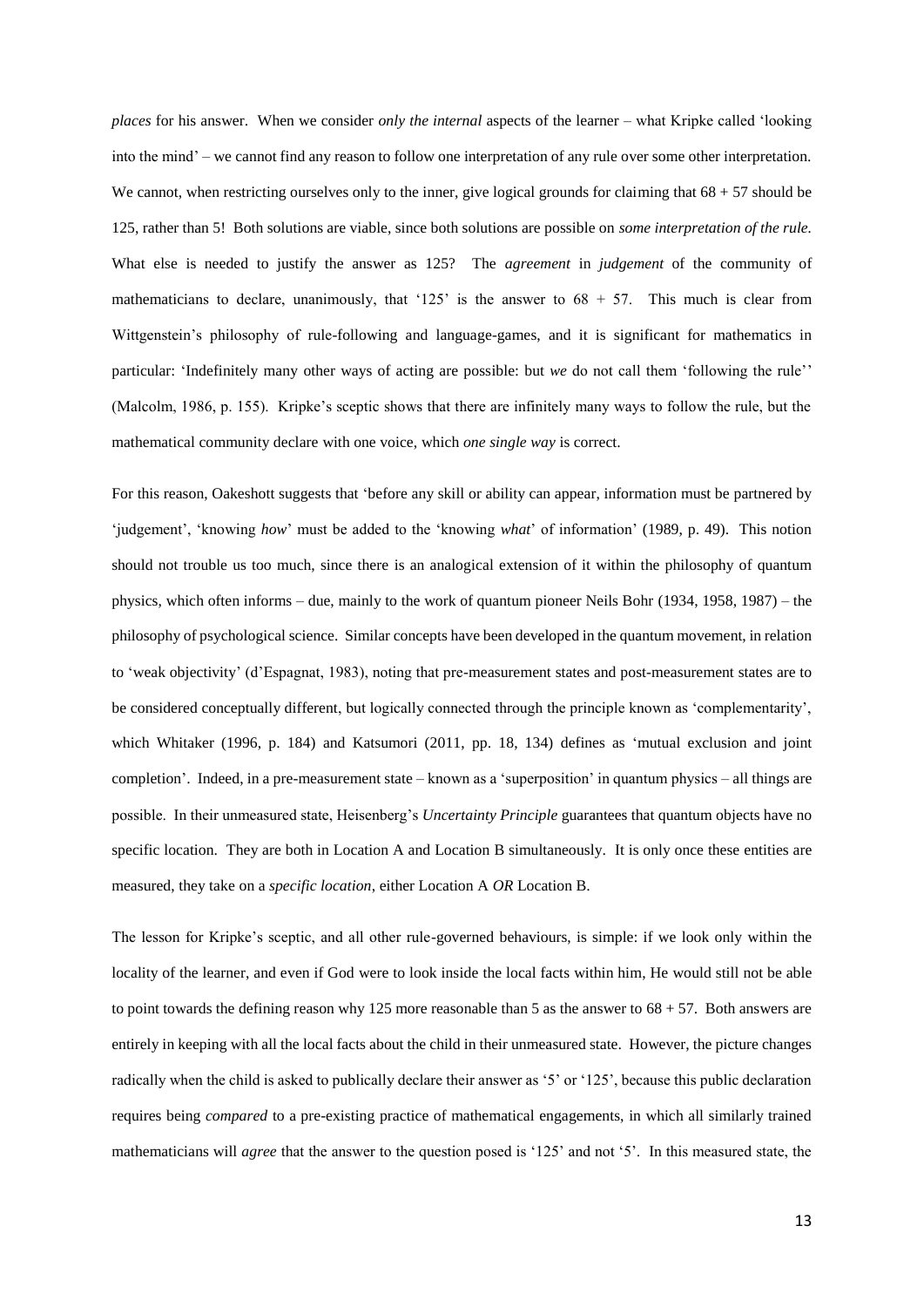*places* for his answer. When we consider *only the internal* aspects of the learner – what Kripke called 'looking into the mind' – we cannot find any reason to follow one interpretation of any rule over some other interpretation. We cannot, when restricting ourselves only to the inner, give logical grounds for claiming that  $68 + 57$  should be 125, rather than 5! Both solutions are viable, since both solutions are possible on *some interpretation of the rule.* What else is needed to justify the answer as 125? The *agreement* in *judgement* of the community of mathematicians to declare, unanimously, that '125' is the answer to  $68 + 57$ . This much is clear from Wittgenstein's philosophy of rule-following and language-games, and it is significant for mathematics in particular: 'Indefinitely many other ways of acting are possible: but *we* do not call them 'following the rule'' (Malcolm, 1986, p. 155). Kripke's sceptic shows that there are infinitely many ways to follow the rule, but the mathematical community declare with one voice, which *one single way* is correct.

For this reason, Oakeshott suggests that 'before any skill or ability can appear, information must be partnered by 'judgement', 'knowing *how*' must be added to the 'knowing *what*' of information' (1989, p. 49). This notion should not trouble us too much, since there is an analogical extension of it within the philosophy of quantum physics, which often informs – due, mainly to the work of quantum pioneer Neils Bohr (1934, 1958, 1987) – the philosophy of psychological science. Similar concepts have been developed in the quantum movement, in relation to 'weak objectivity' (d'Espagnat, 1983), noting that pre-measurement states and post-measurement states are to be considered conceptually different, but logically connected through the principle known as 'complementarity', which Whitaker (1996, p. 184) and Katsumori (2011, pp. 18, 134) defines as 'mutual exclusion and joint completion'. Indeed, in a pre-measurement state – known as a 'superposition' in quantum physics – all things are possible. In their unmeasured state, Heisenberg's *Uncertainty Principle* guarantees that quantum objects have no specific location. They are both in Location A and Location B simultaneously. It is only once these entities are measured, they take on a *specific location*, either Location A *OR* Location B.

The lesson for Kripke's sceptic, and all other rule-governed behaviours, is simple: if we look only within the locality of the learner, and even if God were to look inside the local facts within him, He would still not be able to point towards the defining reason why 125 more reasonable than 5 as the answer to 68 + 57. Both answers are entirely in keeping with all the local facts about the child in their unmeasured state. However, the picture changes radically when the child is asked to publically declare their answer as '5' or '125', because this public declaration requires being *compared* to a pre-existing practice of mathematical engagements, in which all similarly trained mathematicians will *agree* that the answer to the question posed is '125' and not '5'. In this measured state, the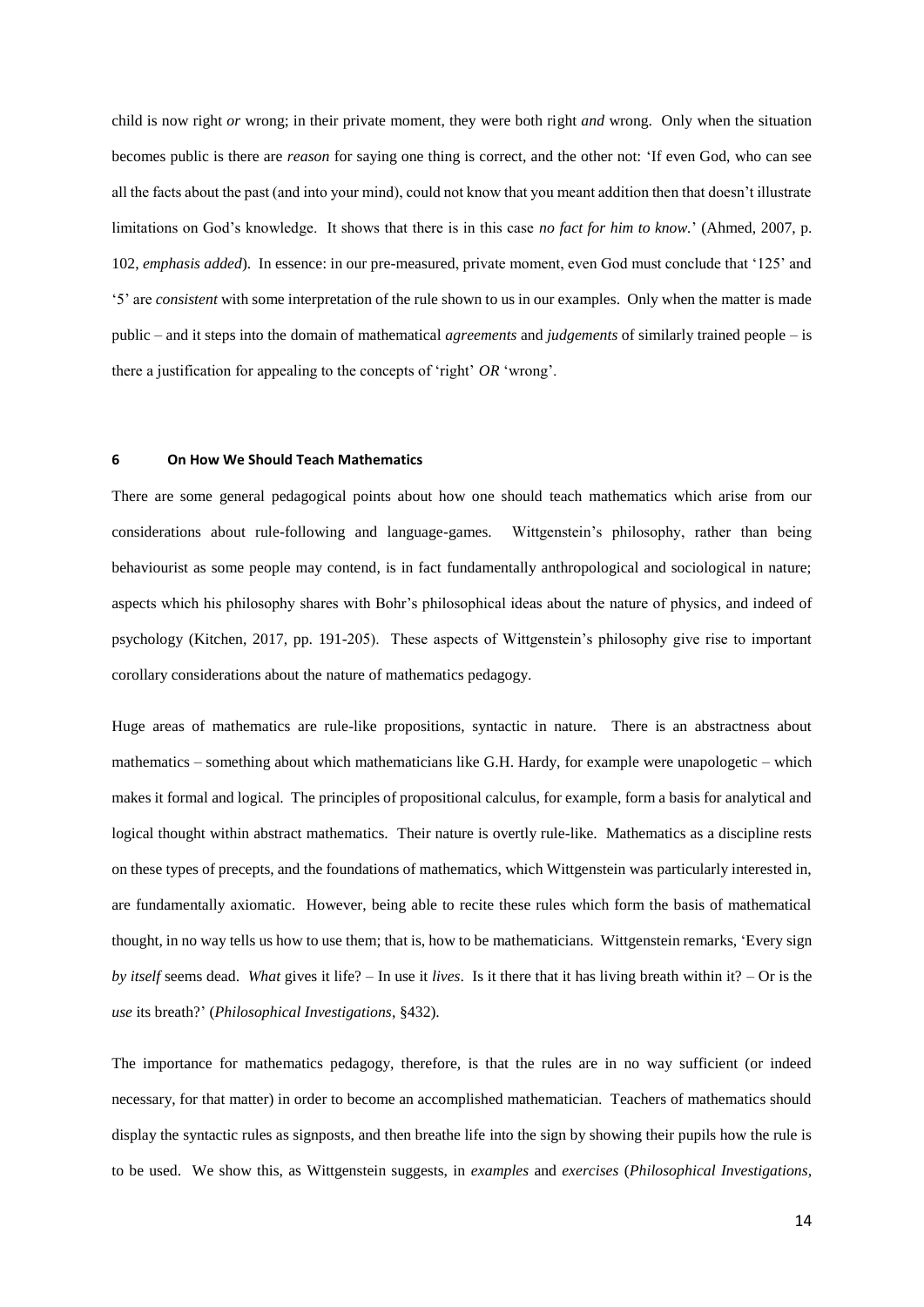child is now right *or* wrong; in their private moment, they were both right *and* wrong. Only when the situation becomes public is there are *reason* for saying one thing is correct, and the other not: 'If even God, who can see all the facts about the past (and into your mind), could not know that you meant addition then that doesn't illustrate limitations on God's knowledge. It shows that there is in this case *no fact for him to know.*' (Ahmed, 2007, p. 102, *emphasis added*). In essence: in our pre-measured, private moment, even God must conclude that '125' and '5' are *consistent* with some interpretation of the rule shown to us in our examples. Only when the matter is made public – and it steps into the domain of mathematical *agreements* and *judgements* of similarly trained people – is there a justification for appealing to the concepts of 'right' *OR* 'wrong'.

#### **6 On How We Should Teach Mathematics**

There are some general pedagogical points about how one should teach mathematics which arise from our considerations about rule-following and language-games. Wittgenstein's philosophy, rather than being behaviourist as some people may contend, is in fact fundamentally anthropological and sociological in nature; aspects which his philosophy shares with Bohr's philosophical ideas about the nature of physics, and indeed of psychology (Kitchen, 2017, pp. 191-205). These aspects of Wittgenstein's philosophy give rise to important corollary considerations about the nature of mathematics pedagogy.

Huge areas of mathematics are rule-like propositions, syntactic in nature. There is an abstractness about mathematics – something about which mathematicians like G.H. Hardy, for example were unapologetic – which makes it formal and logical. The principles of propositional calculus, for example, form a basis for analytical and logical thought within abstract mathematics. Their nature is overtly rule-like. Mathematics as a discipline rests on these types of precepts, and the foundations of mathematics, which Wittgenstein was particularly interested in, are fundamentally axiomatic. However, being able to recite these rules which form the basis of mathematical thought, in no way tells us how to use them; that is, how to be mathematicians. Wittgenstein remarks, 'Every sign *by itself* seems dead. *What* gives it life? – In use it *lives*. Is it there that it has living breath within it? – Or is the *use* its breath?' (*Philosophical Investigations*, §432).

The importance for mathematics pedagogy, therefore, is that the rules are in no way sufficient (or indeed necessary, for that matter) in order to become an accomplished mathematician. Teachers of mathematics should display the syntactic rules as signposts, and then breathe life into the sign by showing their pupils how the rule is to be used. We show this, as Wittgenstein suggests, in *examples* and *exercises* (*Philosophical Investigations,*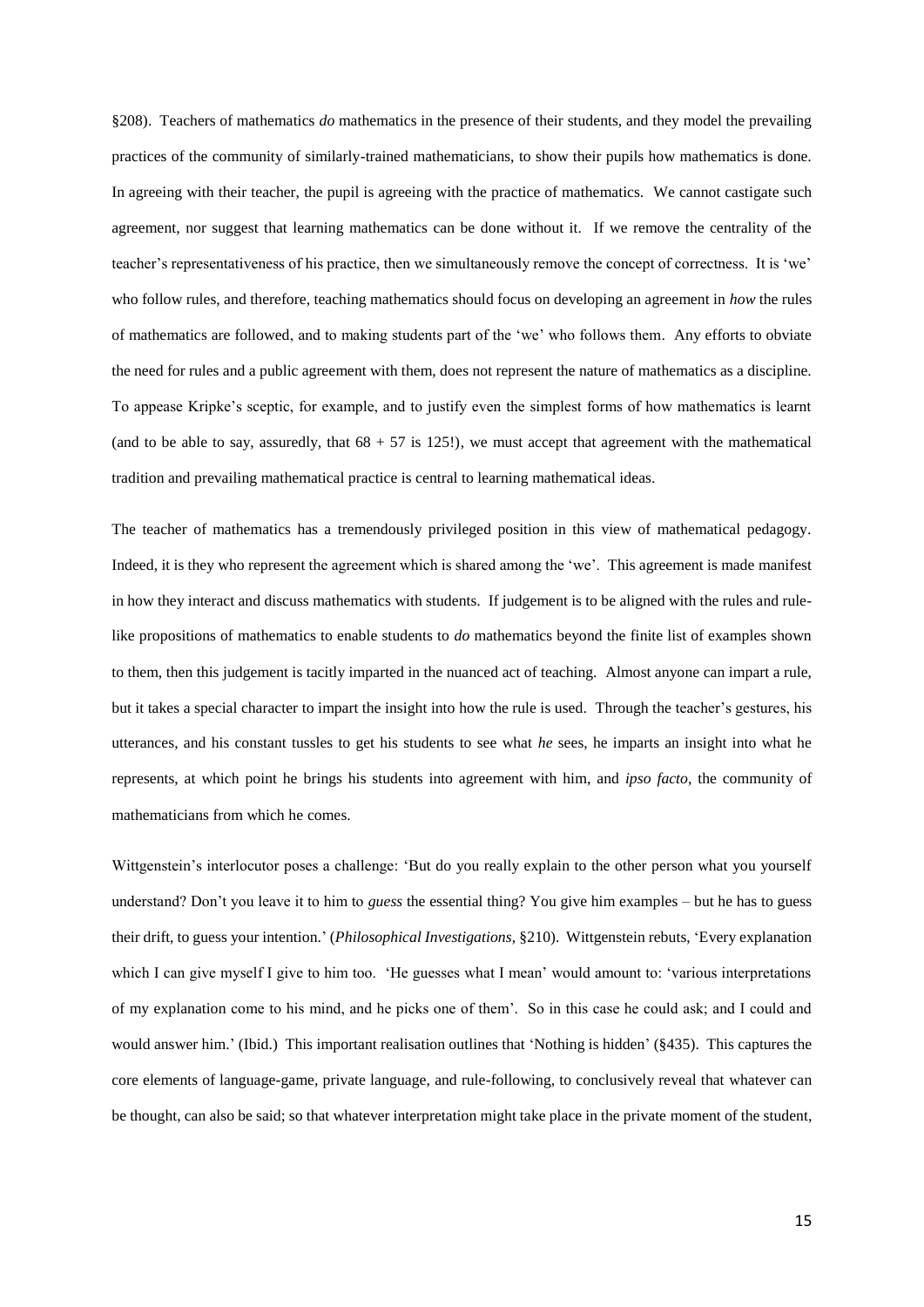§208). Teachers of mathematics *do* mathematics in the presence of their students, and they model the prevailing practices of the community of similarly-trained mathematicians, to show their pupils how mathematics is done. In agreeing with their teacher, the pupil is agreeing with the practice of mathematics. We cannot castigate such agreement, nor suggest that learning mathematics can be done without it. If we remove the centrality of the teacher's representativeness of his practice, then we simultaneously remove the concept of correctness. It is 'we' who follow rules, and therefore, teaching mathematics should focus on developing an agreement in *how* the rules of mathematics are followed, and to making students part of the 'we' who follows them. Any efforts to obviate the need for rules and a public agreement with them, does not represent the nature of mathematics as a discipline. To appease Kripke's sceptic, for example, and to justify even the simplest forms of how mathematics is learnt (and to be able to say, assuredly, that  $68 + 57$  is 125!), we must accept that agreement with the mathematical tradition and prevailing mathematical practice is central to learning mathematical ideas.

The teacher of mathematics has a tremendously privileged position in this view of mathematical pedagogy. Indeed, it is they who represent the agreement which is shared among the 'we'. This agreement is made manifest in how they interact and discuss mathematics with students. If judgement is to be aligned with the rules and rulelike propositions of mathematics to enable students to *do* mathematics beyond the finite list of examples shown to them, then this judgement is tacitly imparted in the nuanced act of teaching. Almost anyone can impart a rule, but it takes a special character to impart the insight into how the rule is used. Through the teacher's gestures, his utterances, and his constant tussles to get his students to see what *he* sees, he imparts an insight into what he represents, at which point he brings his students into agreement with him, and *ipso facto*, the community of mathematicians from which he comes.

Wittgenstein's interlocutor poses a challenge: 'But do you really explain to the other person what you yourself understand? Don't you leave it to him to *guess* the essential thing? You give him examples – but he has to guess their drift, to guess your intention.' (*Philosophical Investigations,* §210). Wittgenstein rebuts, 'Every explanation which I can give myself I give to him too. 'He guesses what I mean' would amount to: 'various interpretations of my explanation come to his mind, and he picks one of them'. So in this case he could ask; and I could and would answer him.' (Ibid.) This important realisation outlines that 'Nothing is hidden' (§435). This captures the core elements of language-game, private language, and rule-following, to conclusively reveal that whatever can be thought, can also be said; so that whatever interpretation might take place in the private moment of the student,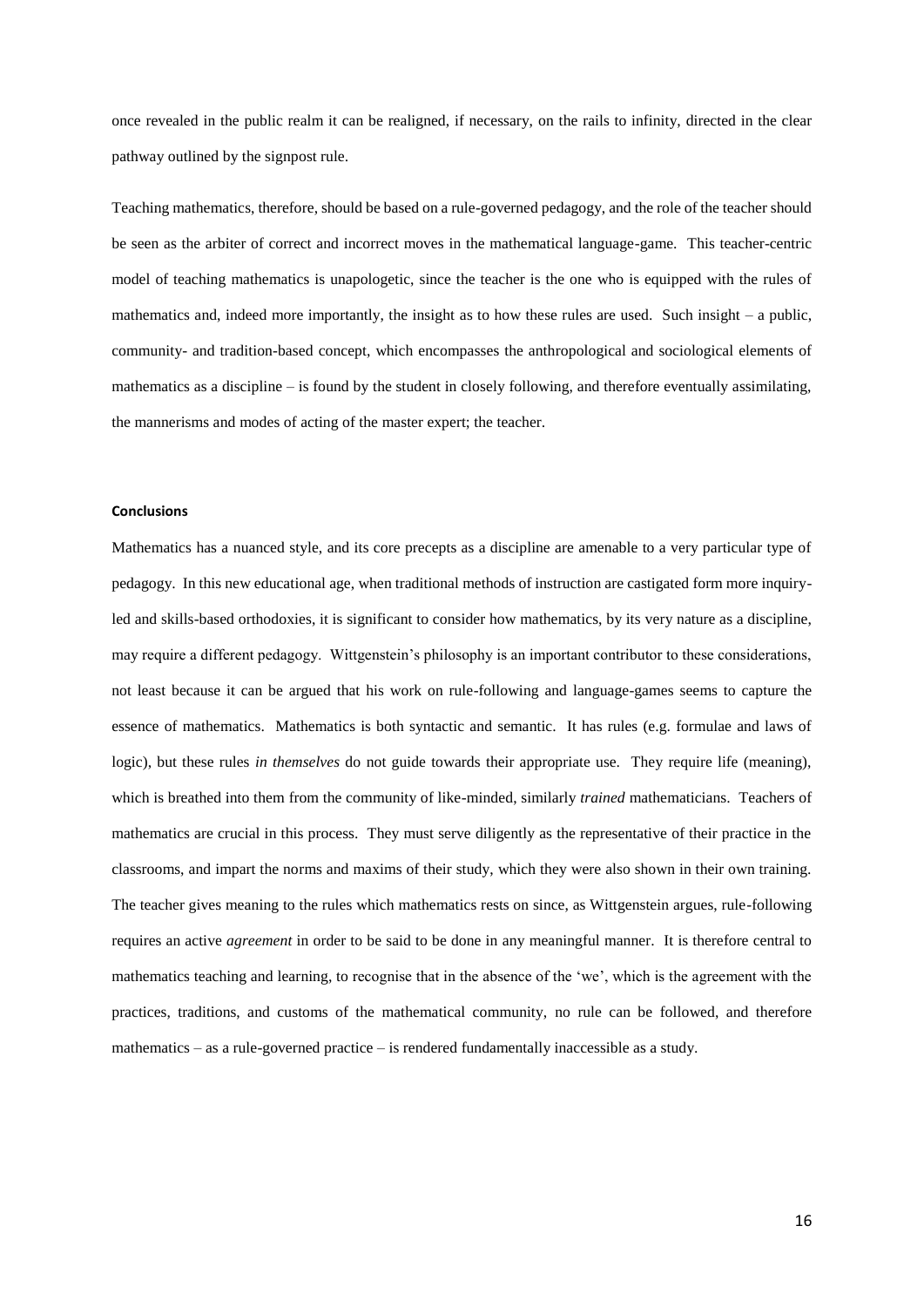once revealed in the public realm it can be realigned, if necessary, on the rails to infinity, directed in the clear pathway outlined by the signpost rule.

Teaching mathematics, therefore, should be based on a rule-governed pedagogy, and the role of the teacher should be seen as the arbiter of correct and incorrect moves in the mathematical language-game. This teacher-centric model of teaching mathematics is unapologetic, since the teacher is the one who is equipped with the rules of mathematics and, indeed more importantly, the insight as to how these rules are used. Such insight – a public, community- and tradition-based concept, which encompasses the anthropological and sociological elements of mathematics as a discipline – is found by the student in closely following, and therefore eventually assimilating, the mannerisms and modes of acting of the master expert; the teacher.

## **Conclusions**

Mathematics has a nuanced style, and its core precepts as a discipline are amenable to a very particular type of pedagogy. In this new educational age, when traditional methods of instruction are castigated form more inquiryled and skills-based orthodoxies, it is significant to consider how mathematics, by its very nature as a discipline, may require a different pedagogy. Wittgenstein's philosophy is an important contributor to these considerations, not least because it can be argued that his work on rule-following and language-games seems to capture the essence of mathematics. Mathematics is both syntactic and semantic. It has rules (e.g. formulae and laws of logic), but these rules *in themselves* do not guide towards their appropriate use. They require life (meaning), which is breathed into them from the community of like-minded, similarly *trained* mathematicians. Teachers of mathematics are crucial in this process. They must serve diligently as the representative of their practice in the classrooms, and impart the norms and maxims of their study, which they were also shown in their own training. The teacher gives meaning to the rules which mathematics rests on since, as Wittgenstein argues, rule-following requires an active *agreement* in order to be said to be done in any meaningful manner. It is therefore central to mathematics teaching and learning, to recognise that in the absence of the 'we', which is the agreement with the practices, traditions, and customs of the mathematical community, no rule can be followed, and therefore mathematics – as a rule-governed practice – is rendered fundamentally inaccessible as a study.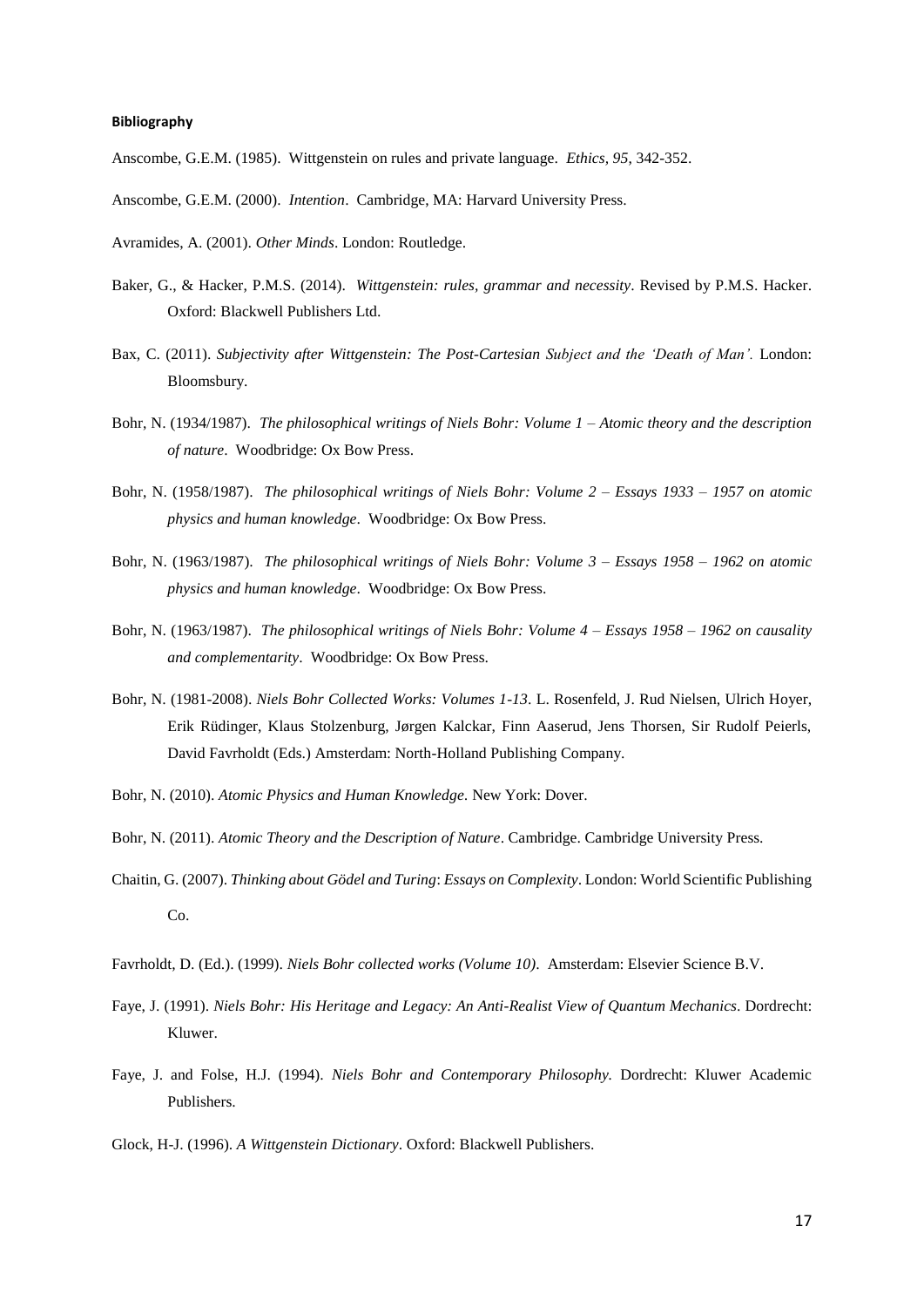# **Bibliography**

Anscombe, G.E.M. (1985). Wittgenstein on rules and private language. *Ethics, 95*, 342-352.

- Anscombe, G.E.M. (2000). *Intention*. Cambridge, MA: Harvard University Press.
- Avramides, A. (2001). *Other Minds*. London: Routledge.
- Baker, G., & Hacker, P.M.S. (2014). *Wittgenstein: rules, grammar and necessity*. Revised by P.M.S. Hacker. Oxford: Blackwell Publishers Ltd.
- Bax, C. (2011). *Subjectivity after Wittgenstein: The Post-Cartesian Subject and the 'Death of Man'.* London: Bloomsbury.
- Bohr, N. (1934/1987). *The philosophical writings of Niels Bohr: Volume 1 – Atomic theory and the description of nature*. Woodbridge: Ox Bow Press.
- Bohr, N. (1958/1987). *The philosophical writings of Niels Bohr: Volume 2 – Essays 1933 – 1957 on atomic physics and human knowledge*. Woodbridge: Ox Bow Press.
- Bohr, N. (1963/1987). *The philosophical writings of Niels Bohr: Volume 3 – Essays 1958 – 1962 on atomic physics and human knowledge*. Woodbridge: Ox Bow Press.
- Bohr, N. (1963/1987). *The philosophical writings of Niels Bohr: Volume 4 – Essays 1958 – 1962 on causality and complementarity*. Woodbridge: Ox Bow Press.
- Bohr, N. (1981-2008). *Niels Bohr Collected Works: Volumes 1-13*. L. Rosenfeld, J. Rud Nielsen, Ulrich Hoyer, Erik Rüdinger, Klaus Stolzenburg, Jørgen Kalckar, Finn Aaserud, Jens Thorsen, Sir Rudolf Peierls, David Favrholdt (Eds.) Amsterdam: North-Holland Publishing Company.
- Bohr, N. (2010). *Atomic Physics and Human Knowledge.* New York: Dover.
- Bohr, N. (2011). *Atomic Theory and the Description of Nature*. Cambridge. Cambridge University Press.
- Chaitin, G. (2007). *Thinking about Gödel and Turing*: *Essays on Complexity*. London: World Scientific Publishing Co.
- Favrholdt, D. (Ed.). (1999). *Niels Bohr collected works (Volume 10)*. Amsterdam: Elsevier Science B.V.
- Faye, J. (1991). *Niels Bohr: His Heritage and Legacy: An Anti-Realist View of Quantum Mechanics*. Dordrecht: Kluwer.
- Faye, J. and Folse, H.J. (1994). *Niels Bohr and Contemporary Philosophy.* Dordrecht: Kluwer Academic Publishers.
- Glock, H-J. (1996). *A Wittgenstein Dictionary*. Oxford: Blackwell Publishers.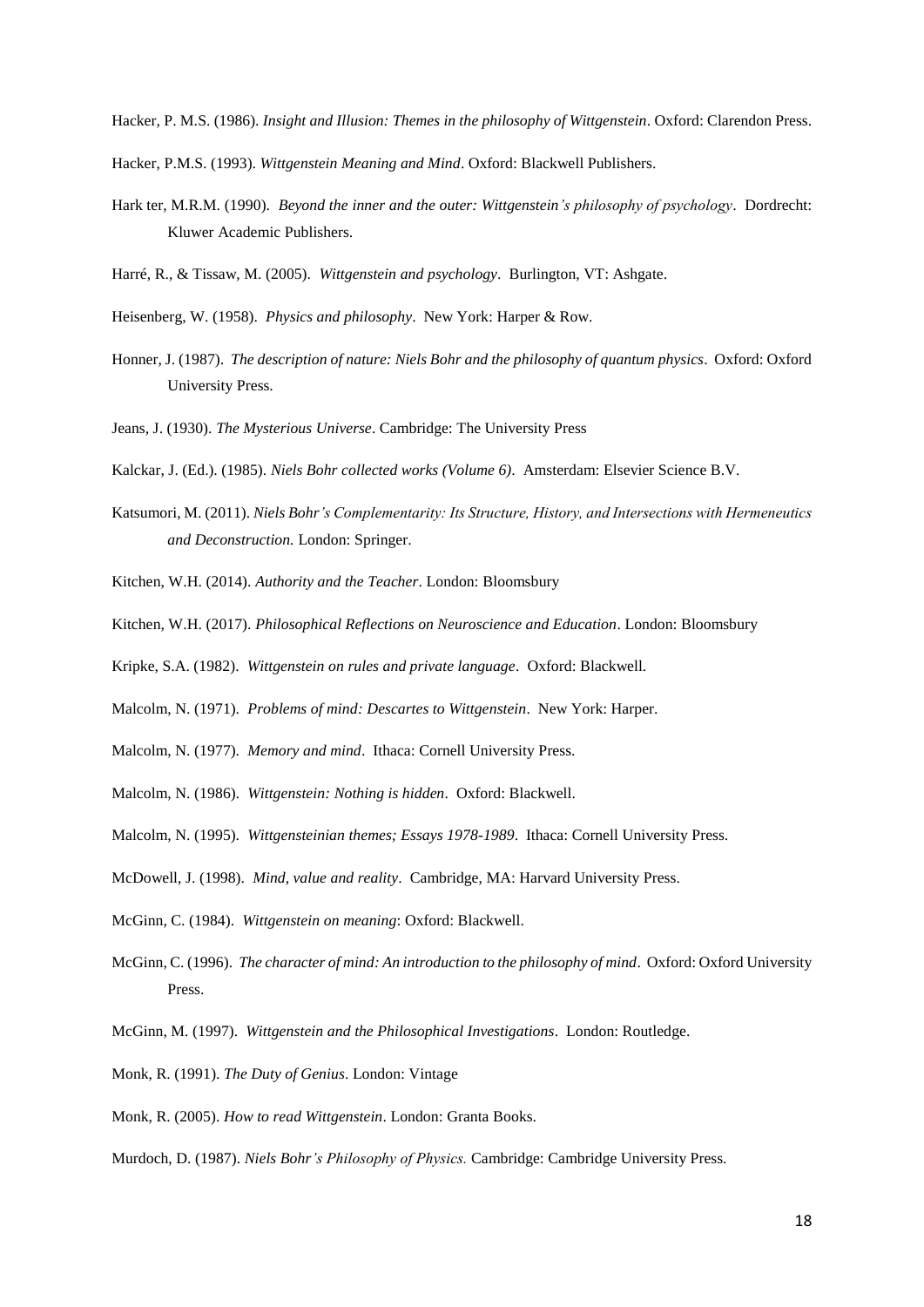Hacker, P. M.S. (1986). *Insight and Illusion: Themes in the philosophy of Wittgenstein*. Oxford: Clarendon Press.

Hacker, P.M.S. (1993). *Wittgenstein Meaning and Mind*. Oxford: Blackwell Publishers.

Hark ter, M.R.M. (1990). *Beyond the inner and the outer: Wittgenstein's philosophy of psychology*. Dordrecht: Kluwer Academic Publishers.

Harré, R., & Tissaw, M. (2005). *Wittgenstein and psychology*. Burlington, VT: Ashgate.

Heisenberg, W. (1958). *Physics and philosophy*. New York: Harper & Row.

- Honner, J. (1987). *The description of nature: Niels Bohr and the philosophy of quantum physics*. Oxford: Oxford University Press.
- Jeans, J. (1930). *The Mysterious Universe*. Cambridge: The University Press

Kalckar, J. (Ed.). (1985). *Niels Bohr collected works (Volume 6)*. Amsterdam: Elsevier Science B.V.

Katsumori, M. (2011). *Niels Bohr's Complementarity: Its Structure, History, and Intersections with Hermeneutics and Deconstruction.* London: Springer.

Kitchen, W.H. (2014). *Authority and the Teacher*. London: Bloomsbury

Kitchen, W.H. (2017). *Philosophical Reflections on Neuroscience and Education*. London: Bloomsbury

Kripke, S.A. (1982). *Wittgenstein on rules and private language*. Oxford: Blackwell.

- Malcolm, N. (1971). *Problems of mind: Descartes to Wittgenstein*. New York: Harper.
- Malcolm, N. (1977). *Memory and mind*. Ithaca: Cornell University Press.
- Malcolm, N. (1986). *Wittgenstein: Nothing is hidden*. Oxford: Blackwell.
- Malcolm, N. (1995). *Wittgensteinian themes; Essays 1978-1989*. Ithaca: Cornell University Press.
- McDowell, J. (1998). *Mind, value and reality*. Cambridge, MA: Harvard University Press.
- McGinn, C. (1984). *Wittgenstein on meaning*: Oxford: Blackwell.
- McGinn, C. (1996). *The character of mind: An introduction to the philosophy of mind*. Oxford: Oxford University Press.
- McGinn, M. (1997). *Wittgenstein and the Philosophical Investigations*. London: Routledge.
- Monk, R. (1991). *The Duty of Genius*. London: Vintage
- Monk, R. (2005). *How to read Wittgenstein*. London: Granta Books.
- Murdoch, D. (1987). *Niels Bohr's Philosophy of Physics.* Cambridge: Cambridge University Press.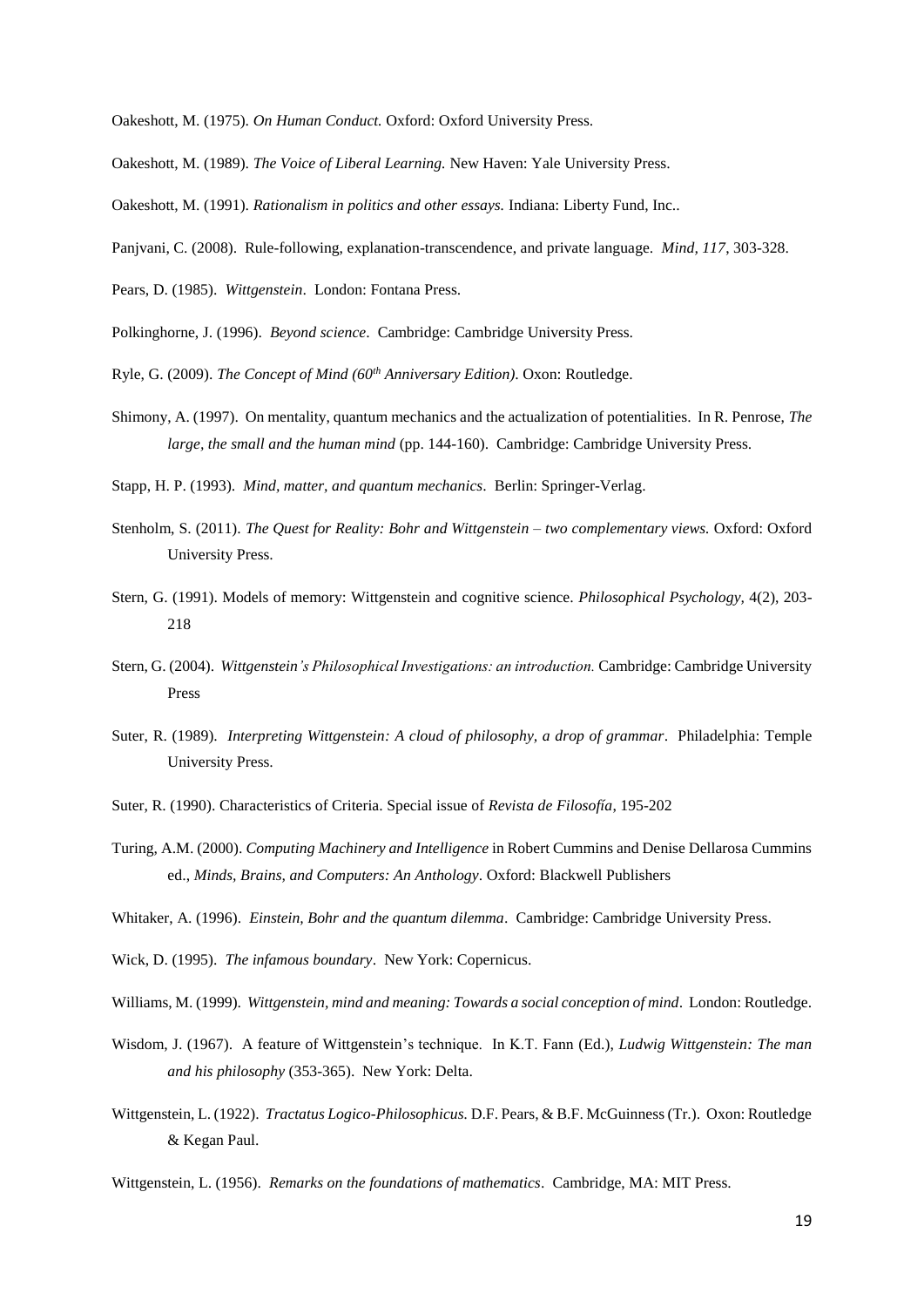Oakeshott, M. (1975). *On Human Conduct.* Oxford: Oxford University Press.

- Oakeshott, M. (1989). *The Voice of Liberal Learning.* New Haven: Yale University Press.
- Oakeshott, M. (1991). *Rationalism in politics and other essays.* Indiana: Liberty Fund, Inc..
- Panjvani, C. (2008). Rule-following, explanation-transcendence, and private language. *Mind, 117*, 303-328.
- Pears, D. (1985). *Wittgenstein*. London: Fontana Press.
- Polkinghorne, J. (1996). *Beyond science*. Cambridge: Cambridge University Press.
- Ryle, G. (2009). *The Concept of Mind (60th Anniversary Edition)*. Oxon: Routledge.
- Shimony, A. (1997). On mentality, quantum mechanics and the actualization of potentialities. In R. Penrose, *The large, the small and the human mind* (pp. 144-160). Cambridge: Cambridge University Press.
- Stapp, H. P. (1993). *Mind, matter, and quantum mechanics*. Berlin: Springer-Verlag.
- Stenholm, S. (2011). *The Quest for Reality: Bohr and Wittgenstein – two complementary views.* Oxford: Oxford University Press.
- Stern, G. (1991). Models of memory: Wittgenstein and cognitive science. *Philosophical Psychology,* 4(2), 203- 218
- Stern, G. (2004). *Wittgenstein's Philosophical Investigations: an introduction.* Cambridge: Cambridge University Press
- Suter, R. (1989). *Interpreting Wittgenstein: A cloud of philosophy, a drop of grammar*. Philadelphia: Temple University Press.
- Suter, R. (1990). Characteristics of Criteria. Special issue of *Revista de Filosofía*, 195-202
- Turing, A.M. (2000). *Computing Machinery and Intelligence* in Robert Cummins and Denise Dellarosa Cummins ed., *Minds, Brains, and Computers: An Anthology*. Oxford: Blackwell Publishers
- Whitaker, A. (1996). *Einstein, Bohr and the quantum dilemma*. Cambridge: Cambridge University Press.
- Wick, D. (1995). *The infamous boundary*. New York: Copernicus.
- Williams, M. (1999). *Wittgenstein, mind and meaning: Towards a social conception of mind*. London: Routledge.
- Wisdom, J. (1967). A feature of Wittgenstein's technique. In K.T. Fann (Ed.), *Ludwig Wittgenstein: The man and his philosophy* (353-365). New York: Delta.
- Wittgenstein, L. (1922). *Tractatus Logico-Philosophicus.* D.F. Pears, & B.F. McGuinness (Tr.). Oxon: Routledge & Kegan Paul.
- Wittgenstein, L. (1956). *Remarks on the foundations of mathematics*. Cambridge, MA: MIT Press.